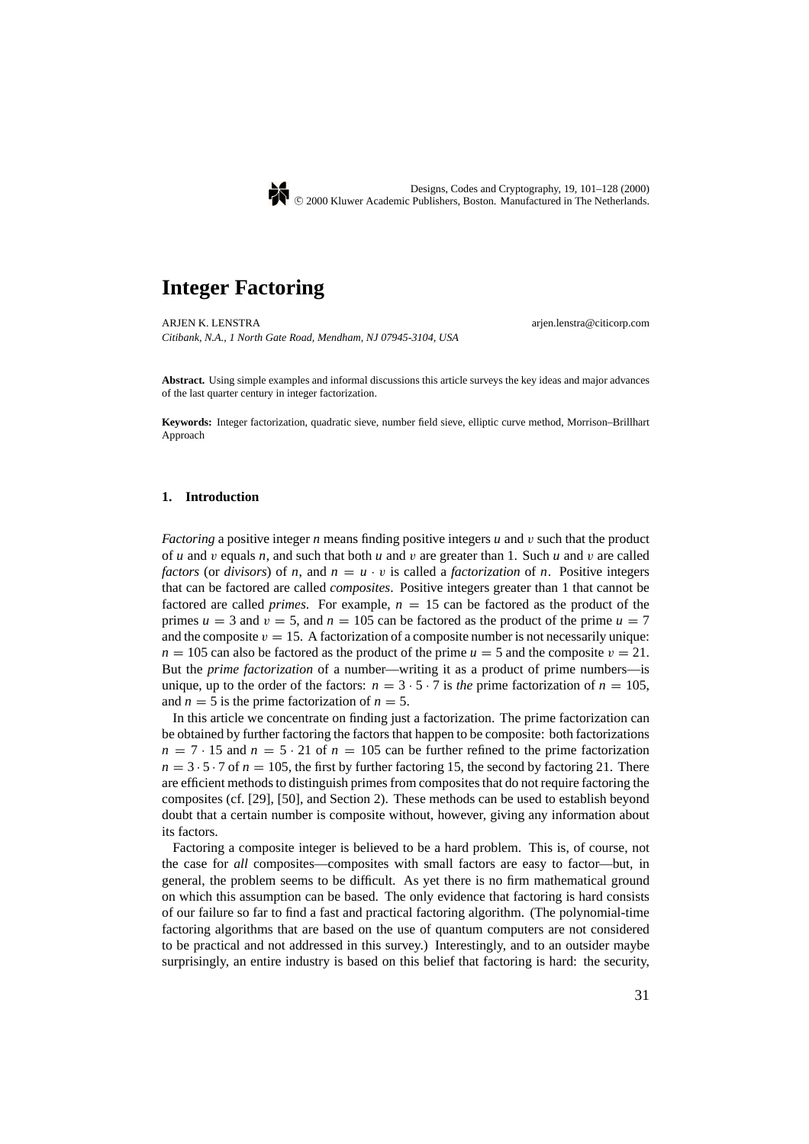

# **Integer Factoring**

ARJEN K. LENSTRA arjen.lenstra@citicorp.com *Citibank, N.A., 1 North Gate Road, Mendham, NJ 07945-3104, USA*

**Abstract.** Using simple examples and informal discussions this article surveys the key ideas and major advances of the last quarter century in integer factorization.

**Keywords:** Integer factorization, quadratic sieve, number field sieve, elliptic curve method, Morrison–Brillhart Approach

# **1. Introduction**

*Factoring* a positive integer *n* means finding positive integers *u* and v such that the product of *u* and v equals *n*, and such that both *u* and v are greater than 1. Such *u* and v are called *factors* (or *divisors*) of *n*, and  $n = u \cdot v$  is called a *factorization* of *n*. Positive integers that can be factored are called *composites*. Positive integers greater than 1 that cannot be factored are called *primes*. For example,  $n = 15$  can be factored as the product of the primes  $u = 3$  and  $v = 5$ , and  $n = 105$  can be factored as the product of the prime  $u = 7$ and the composite  $v = 15$ . A factorization of a composite number is not necessarily unique:  $n = 105$  can also be factored as the product of the prime  $u = 5$  and the composite  $v = 21$ . But the *prime factorization* of a number—writing it as a product of prime numbers—is unique, up to the order of the factors:  $n = 3 \cdot 5 \cdot 7$  is *the* prime factorization of  $n = 105$ , and  $n = 5$  is the prime factorization of  $n = 5$ .

In this article we concentrate on finding just a factorization. The prime factorization can be obtained by further factoring the factors that happen to be composite: both factorizations  $n = 7 \cdot 15$  and  $n = 5 \cdot 21$  of  $n = 105$  can be further refined to the prime factorization  $n = 3 \cdot 5 \cdot 7$  of  $n = 105$ , the first by further factoring 15, the second by factoring 21. There are efficient methods to distinguish primes from composites that do not require factoring the composites (cf. [29], [50], and Section 2). These methods can be used to establish beyond doubt that a certain number is composite without, however, giving any information about its factors.

Factoring a composite integer is believed to be a hard problem. This is, of course, not the case for *all* composites—composites with small factors are easy to factor—but, in general, the problem seems to be difficult. As yet there is no firm mathematical ground on which this assumption can be based. The only evidence that factoring is hard consists of our failure so far to find a fast and practical factoring algorithm. (The polynomial-time factoring algorithms that are based on the use of quantum computers are not considered to be practical and not addressed in this survey.) Interestingly, and to an outsider maybe surprisingly, an entire industry is based on this belief that factoring is hard: the security,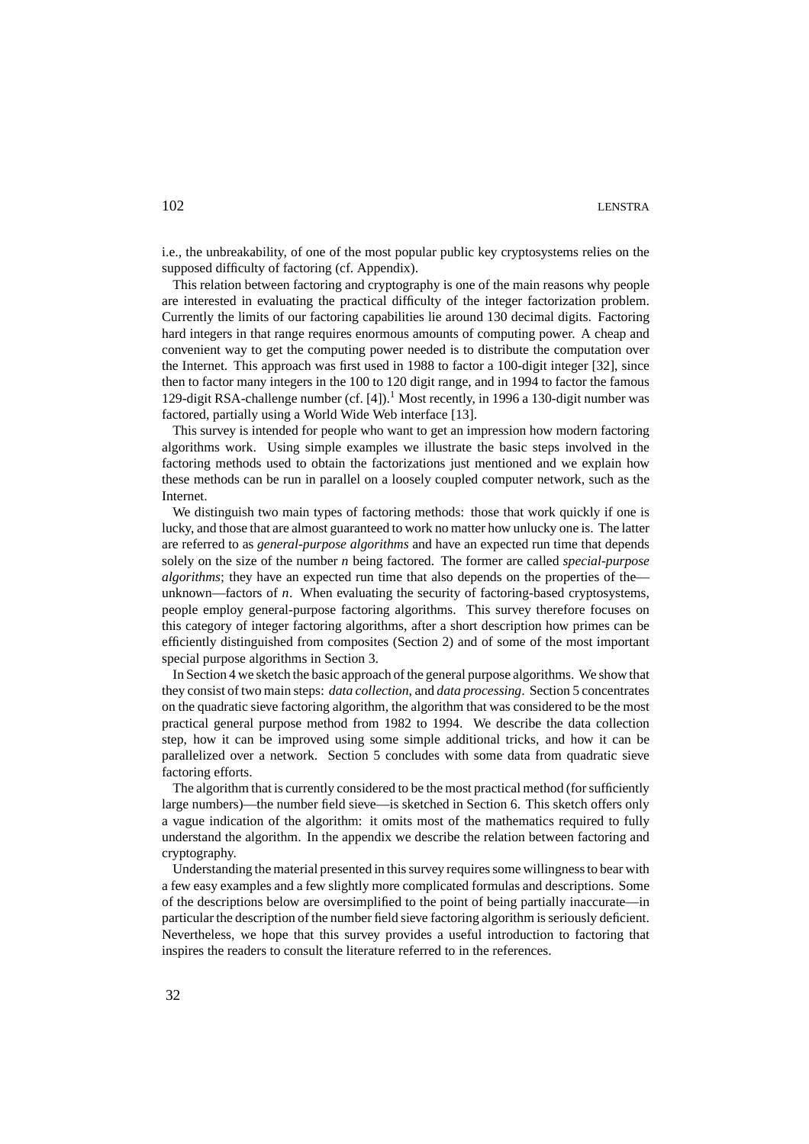i.e., the unbreakability, of one of the most popular public key cryptosystems relies on the supposed difficulty of factoring (cf. Appendix).

This relation between factoring and cryptography is one of the main reasons why people are interested in evaluating the practical difficulty of the integer factorization problem. Currently the limits of our factoring capabilities lie around 130 decimal digits. Factoring hard integers in that range requires enormous amounts of computing power. A cheap and convenient way to get the computing power needed is to distribute the computation over the Internet. This approach was first used in 1988 to factor a 100-digit integer [32], since then to factor many integers in the 100 to 120 digit range, and in 1994 to factor the famous 129-digit RSA-challenge number (cf.  $[4]$ ).<sup>1</sup> Most recently, in 1996 a 130-digit number was factored, partially using a World Wide Web interface [13].

This survey is intended for people who want to get an impression how modern factoring algorithms work. Using simple examples we illustrate the basic steps involved in the factoring methods used to obtain the factorizations just mentioned and we explain how these methods can be run in parallel on a loosely coupled computer network, such as the Internet.

We distinguish two main types of factoring methods: those that work quickly if one is lucky, and those that are almost guaranteed to work no matter how unlucky one is. The latter are referred to as *general-purpose algorithms* and have an expected run time that depends solely on the size of the number *n* being factored. The former are called *special-purpose algorithms*; they have an expected run time that also depends on the properties of theunknown—factors of *n*. When evaluating the security of factoring-based cryptosystems, people employ general-purpose factoring algorithms. This survey therefore focuses on this category of integer factoring algorithms, after a short description how primes can be efficiently distinguished from composites (Section 2) and of some of the most important special purpose algorithms in Section 3.

In Section 4 we sketch the basic approach of the general purpose algorithms. We show that they consist of two main steps: *data collection*, and *data processing*. Section 5 concentrates on the quadratic sieve factoring algorithm, the algorithm that was considered to be the most practical general purpose method from 1982 to 1994. We describe the data collection step, how it can be improved using some simple additional tricks, and how it can be parallelized over a network. Section 5 concludes with some data from quadratic sieve factoring efforts.

The algorithm that is currently considered to be the most practical method (for sufficiently large numbers)—the number field sieve—is sketched in Section 6. This sketch offers only a vague indication of the algorithm: it omits most of the mathematics required to fully understand the algorithm. In the appendix we describe the relation between factoring and cryptography.

Understanding the material presented in this survey requires some willingness to bear with a few easy examples and a few slightly more complicated formulas and descriptions. Some of the descriptions below are oversimplified to the point of being partially inaccurate—in particular the description of the number field sieve factoring algorithm is seriously deficient. Nevertheless, we hope that this survey provides a useful introduction to factoring that inspires the readers to consult the literature referred to in the references.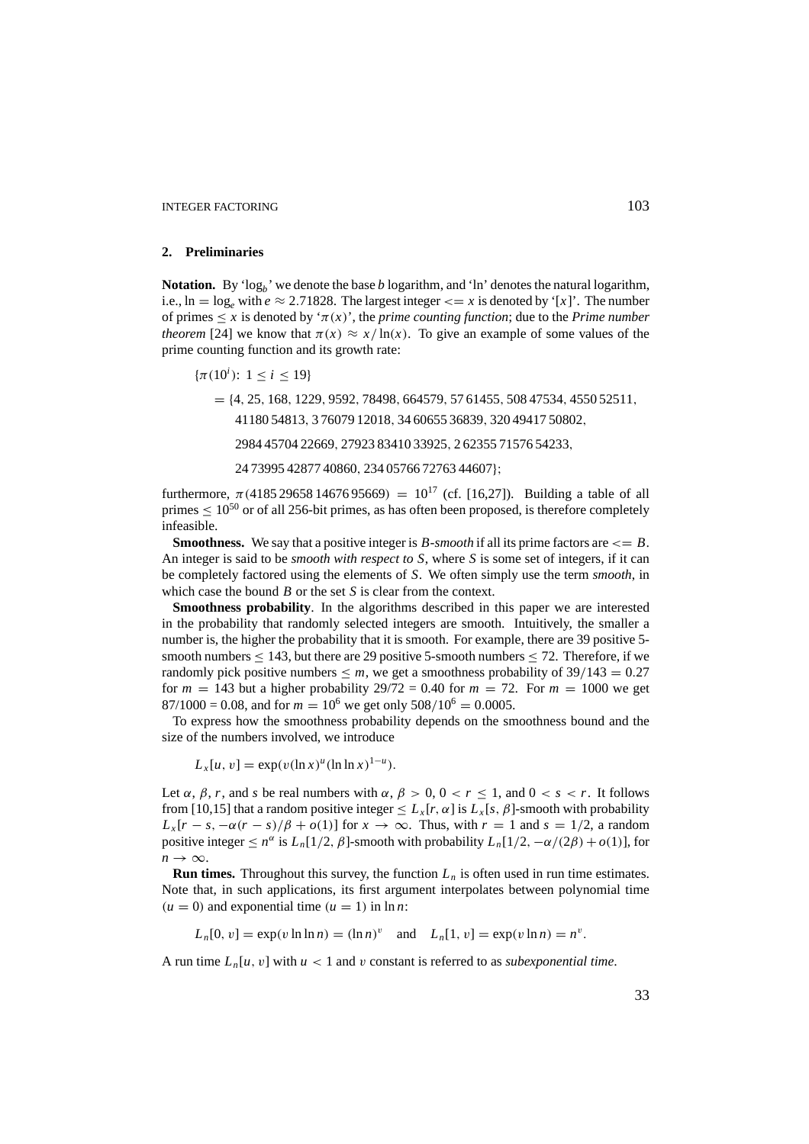# **2. Preliminaries**

**Notation.** By 'log*b*' we denote the base *b* logarithm, and 'ln' denotes the natural logarithm, i.e.,  $\ln = \log_e$  with  $e \approx 2.71828$ . The largest integer  $\lt = x$  is denoted by '[x]'. The number of primes  $\leq x$  is denoted by ' $\pi(x)$ ', the *prime counting function*; due to the *Prime number theorem* [24] we know that  $\pi(x) \approx x/\ln(x)$ . To give an example of some values of the prime counting function and its growth rate:

 $\{\pi(10^i): 1 \leq i \leq 19\}$ 

 $=$  {4, 25, 168, 1229, 9592, 78498, 664579, 57 61455, 508 47534, 4550 52511, 41180 54813, 3 76079 12018, 34 60655 36839, 320 49417 50802,

2984 45704 22669, 27923 83410 33925, 2 62355 71576 54233,

24 73995 42877 40860, 234 05766 72763 44607};

furthermore,  $\pi$ (4185 29658 14676 95669) = 10<sup>17</sup> (cf. [16,27]). Building a table of all primes  $< 10^{50}$  or of all 256-bit primes, as has often been proposed, is therefore completely infeasible.

**Smoothness.** We say that a positive integer is *B*-smooth if all its prime factors are  $\leq B$ . An integer is said to be *smooth with respect to S*, where *S* is some set of integers, if it can be completely factored using the elements of *S*. We often simply use the term *smooth*, in which case the bound *B* or the set *S* is clear from the context.

**Smoothness probability**. In the algorithms described in this paper we are interested in the probability that randomly selected integers are smooth. Intuitively, the smaller a number is, the higher the probability that it is smooth. For example, there are 39 positive 5 smooth numbers  $\leq 143$ , but there are 29 positive 5-smooth numbers  $\leq 72$ . Therefore, if we randomly pick positive numbers  $\leq m$ , we get a smoothness probability of  $39/143 = 0.27$ for  $m = 143$  but a higher probability  $29/72 = 0.40$  for  $m = 72$ . For  $m = 1000$  we get  $87/1000 = 0.08$ , and for  $m = 10^6$  we get only  $508/10^6 = 0.0005$ .

To express how the smoothness probability depends on the smoothness bound and the size of the numbers involved, we introduce

 $L_x[u, v] = \exp(v(\ln x)^u(\ln \ln x)^{1-u}).$ 

Let  $\alpha$ ,  $\beta$ ,  $r$ , and  $s$  be real numbers with  $\alpha$ ,  $\beta > 0$ ,  $0 < r \le 1$ , and  $0 < s < r$ . It follows from [10,15] that a random positive integer  $\leq L_x[r, \alpha]$  is  $L_x[s, \beta]$ -smooth with probability  $L_x[r - s, -\alpha(r - s)/\beta + o(1)]$  for  $x \to \infty$ . Thus, with  $r = 1$  and  $s = 1/2$ , a random positive integer  $\lt n^{\alpha}$  is  $L_n[1/2, \beta]$ -smooth with probability  $L_n[1/2, -\alpha/(2\beta) + o(1)]$ , for  $n \to \infty$ .

**Run times.** Throughout this survey, the function  $L_n$  is often used in run time estimates. Note that, in such applications, its first argument interpolates between polynomial time  $(u = 0)$  and exponential time  $(u = 1)$  in  $\ln n$ :

 $L_n[0, v] = \exp(v \ln \ln n) = (\ln n)^v$  and  $L_n[1, v] = \exp(v \ln n) = n^v$ .

A run time  $L_n[u, v]$  with  $u \leq 1$  and v constant is referred to as *subexponential time*.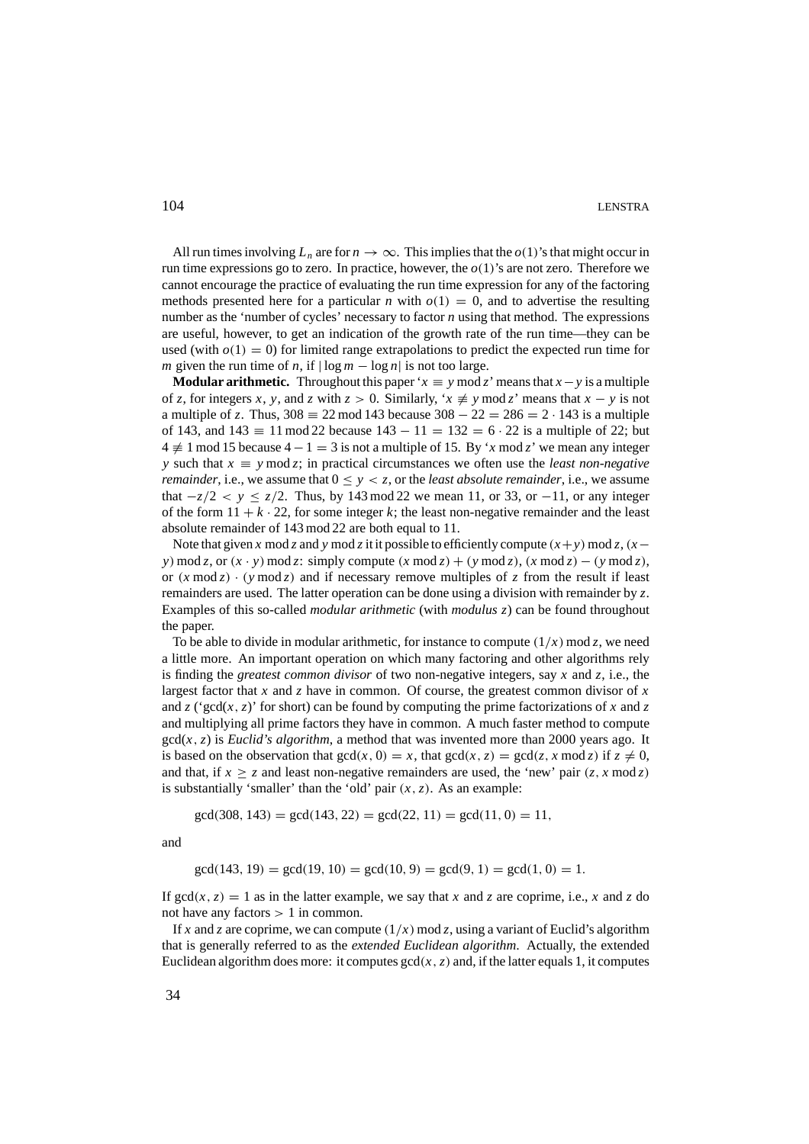All run times involving  $L_n$  are for  $n \to \infty$ . This implies that the  $o(1)$ 's that might occur in run time expressions go to zero. In practice, however, the *o*(1)'s are not zero. Therefore we cannot encourage the practice of evaluating the run time expression for any of the factoring methods presented here for a particular *n* with  $o(1) = 0$ , and to advertise the resulting number as the 'number of cycles' necessary to factor *n* using that method. The expressions are useful, however, to get an indication of the growth rate of the run time—they can be used (with  $o(1) = 0$ ) for limited range extrapolations to predict the expected run time for *m* given the run time of *n*, if  $|\log m - \log n|$  is not too large.

**Modular arithmetic.** Throughout this paper ' $x \equiv y \mod z$ ' means that  $x - y$  is a multiple of *z*, for integers *x*, *y*, and *z* with  $z > 0$ . Similarly, ' $x \neq y \mod z$ ' means that  $x - y$  is not a multiple of *z*. Thus,  $308 \equiv 22 \mod 143$  because  $308 - 22 = 286 = 2 \cdot 143$  is a multiple of 143, and  $143 \equiv 11 \mod 22$  because  $143 - 11 = 132 = 6 \cdot 22$  is a multiple of 22; but  $4 \neq 1$  mod 15 because  $4 - 1 = 3$  is not a multiple of 15. By '*x* mod *z*' we mean any integer *y* such that  $x \equiv y \mod z$ ; in practical circumstances we often use the *least non-negative remainder, i.e., we assume that*  $0 \le y \le z$ , or the *least absolute remainder, i.e., we assume* that  $-z/2 < y \le z/2$ . Thus, by 143 mod 22 we mean 11, or 33, or −11, or any integer of the form  $11 + k \cdot 22$ , for some integer k; the least non-negative remainder and the least absolute remainder of 143 mod 22 are both equal to 11.

Note that given *x* mod *z* and *y* mod *z* it it possible to efficiently compute  $(x + y)$  mod *z*,  $(x - y)$ *y*) mod *z*, or (*x* ⋅ *y*) mod *z*: simply compute (*x* mod *z*) + (*y* mod *z*), (*x* mod *z*) − (*y* mod *z*), or  $(x \mod z) \cdot (y \mod z)$  and if necessary remove multiples of z from the result if least remainders are used. The latter operation can be done using a division with remainder by *z*. Examples of this so-called *modular arithmetic* (with *modulus z*) can be found throughout the paper.

To be able to divide in modular arithmetic, for instance to compute  $(1/x)$  mod *z*, we need a little more. An important operation on which many factoring and other algorithms rely is finding the *greatest common divisor* of two non-negative integers, say *x* and *z*, i.e., the largest factor that  $x$  and  $z$  have in common. Of course, the greatest common divisor of  $x$ and  $z$  ('gcd( $x$ ,  $z$ )' for short) can be found by computing the prime factorizations of  $x$  and  $z$ and multiplying all prime factors they have in common. A much faster method to compute  $gcd(x, z)$  is *Euclid's algorithm*, a method that was invented more than 2000 years ago. It is based on the observation that  $gcd(x, 0) = x$ , that  $gcd(x, z) = gcd(z, x \mod z)$  if  $z \neq 0$ , and that, if  $x > z$  and least non-negative remainders are used, the 'new' pair  $(z, x \mod z)$ is substantially 'smaller' than the 'old' pair  $(x, z)$ . As an example:

$$
gcd(308, 143) = gcd(143, 22) = gcd(22, 11) = gcd(11, 0) = 11,
$$

and

 $gcd(143, 19) = gcd(19, 10) = gcd(10, 9) = gcd(9, 1) = gcd(1, 0) = 1.$ 

If  $gcd(x, z) = 1$  as in the latter example, we say that *x* and *z* are coprime, i.e., *x* and *z* do not have any factors  $> 1$  in common.

If *x* and *z* are coprime, we can compute  $(1/x)$  mod *z*, using a variant of Euclid's algorithm that is generally referred to as the *extended Euclidean algorithm*. Actually, the extended Euclidean algorithm does more: it computes  $gcd(x, z)$  and, if the latter equals 1, it computes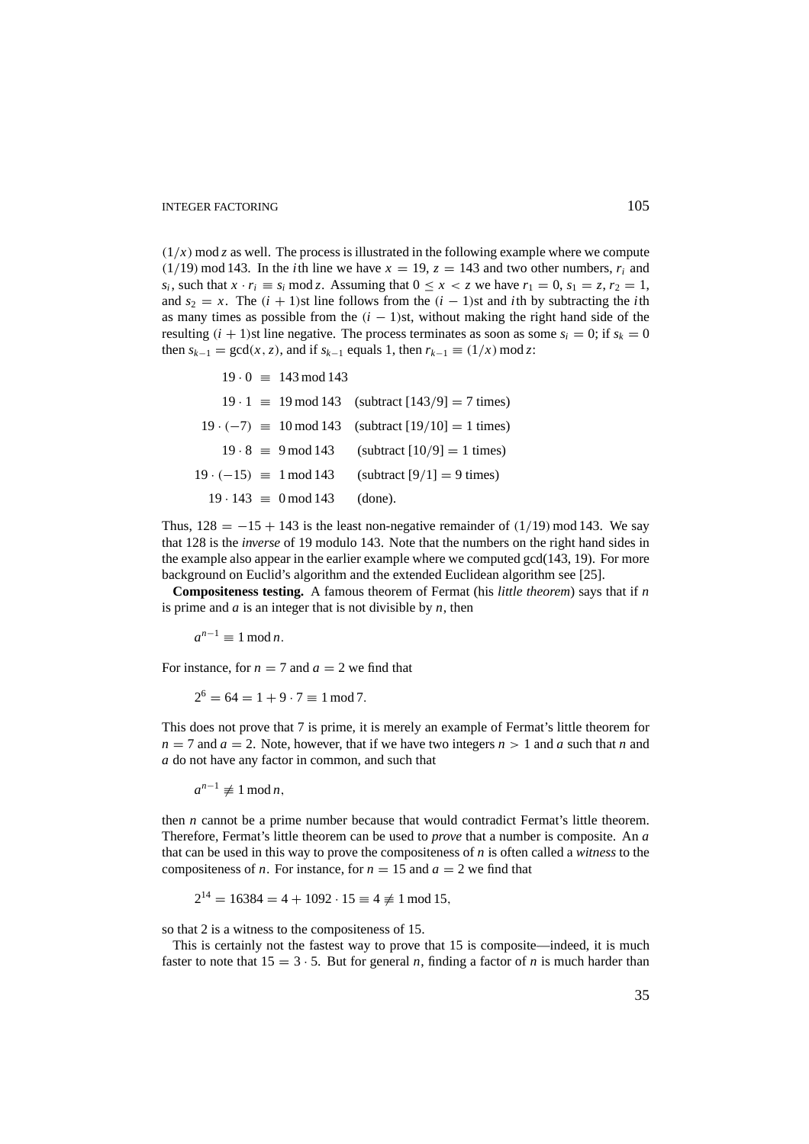$(1/x)$  mod *z* as well. The process is illustrated in the following example where we compute  $(1/19)$  mod 143. In the *i*th line we have  $x = 19$ ,  $z = 143$  and two other numbers,  $r_i$  and *s<sub>i</sub>*, such that  $x \cdot r_i \equiv s_i \mod z$ . Assuming that  $0 \le x \le z$  we have  $r_1 = 0$ ,  $s_1 = z$ ,  $r_2 = 1$ , and  $s_2 = x$ . The  $(i + 1)$ st line follows from the  $(i - 1)$ st and *i*th by subtracting the *i*th as many times as possible from the  $(i - 1)$ st, without making the right hand side of the resulting  $(i + 1)$ st line negative. The process terminates as soon as some  $s_i = 0$ ; if  $s_k = 0$ then  $s_{k-1} = \gcd(x, z)$ , and if  $s_{k-1}$  equals 1, then  $r_{k-1} \equiv (1/x) \mod z$ :

 $19 \cdot 0 \equiv 143 \mod 143$  $19 \cdot 1 \equiv 19 \mod 143$  (subtract  $[143/9] = 7 \text{ times}$ )  $19 \cdot (-7) \equiv 10 \mod 143$  (subtract  $[19/10] = 1$  times)  $19 \cdot 8 \equiv 9 \mod 143$  (subtract  $[10/9] = 1 \text{ times}$ )  $19 \cdot (-15) \equiv 1 \mod 143$  (subtract  $[9/1] = 9 \text{ times}$ )  $19 \cdot 143 \equiv 0 \mod 143$  (done).

Thus,  $128 = -15 + 143$  is the least non-negative remainder of  $(1/19)$  mod 143. We say that 128 is the *inverse* of 19 modulo 143. Note that the numbers on the right hand sides in the example also appear in the earlier example where we computed gcd(143, 19). For more background on Euclid's algorithm and the extended Euclidean algorithm see [25].

**Compositeness testing.** A famous theorem of Fermat (his *little theorem*) says that if *n* is prime and *a* is an integer that is not divisible by *n*, then

 $a^{n-1} \equiv 1 \mod n$ .

For instance, for  $n = 7$  and  $a = 2$  we find that

$$
2^6 = 64 = 1 + 9 \cdot 7 \equiv 1 \mod 7.
$$

This does not prove that 7 is prime, it is merely an example of Fermat's little theorem for  $n = 7$  and  $a = 2$ . Note, however, that if we have two integers  $n > 1$  and a such that n and *a* do not have any factor in common, and such that

 $a^{n-1} \not\equiv 1 \mod n$ ,

then *n* cannot be a prime number because that would contradict Fermat's little theorem. Therefore, Fermat's little theorem can be used to *prove* that a number is composite. An *a* that can be used in this way to prove the compositeness of *n* is often called a *witness* to the compositeness of *n*. For instance, for  $n = 15$  and  $a = 2$  we find that

$$
2^{14} = 16384 = 4 + 1092 \cdot 15 \equiv 4 \not\equiv 1 \mod 15,
$$

so that 2 is a witness to the compositeness of 15.

This is certainly not the fastest way to prove that 15 is composite—indeed, it is much faster to note that  $15 = 3 \cdot 5$ . But for general *n*, finding a factor of *n* is much harder than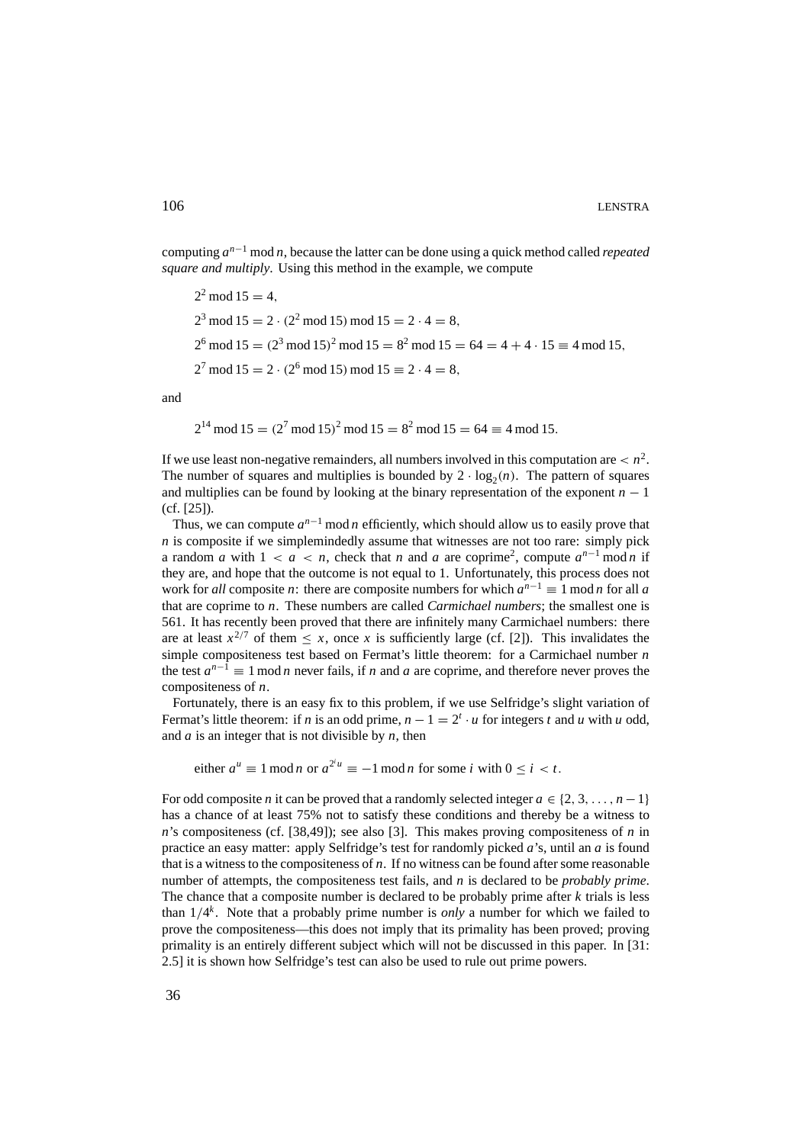computing *a<sup>n</sup>*−<sup>1</sup> mod *n*, because the latter can be done using a quick method called *repeated square and multiply*. Using this method in the example, we compute

 $2^2 \mod 15 = 4$ .  $2^3 \mod 15 = 2 \cdot (2^2 \mod 15) \mod 15 = 2 \cdot 4 = 8$ ,  $2^6 \text{ mod } 15 = (2^3 \text{ mod } 15)^2 \text{ mod } 15 = 8^2 \text{ mod } 15 = 64 = 4 + 4 \cdot 15 \equiv 4 \text{ mod } 15,$  $2^7 \mod 15 = 2 \cdot (2^6 \mod 15) \mod 15 \equiv 2 \cdot 4 = 8$ ,

and

 $2^{14}$  mod  $15 = (2^7 \text{ mod } 15)^2 \text{ mod } 15 = 8^2 \text{ mod } 15 = 64 \equiv 4 \text{ mod } 15.$ 

If we use least non-negative remainders, all numbers involved in this computation are  $\langle n^2 \rangle$ . The number of squares and multiplies is bounded by  $2 \cdot \log_2(n)$ . The pattern of squares and multiplies can be found by looking at the binary representation of the exponent  $n - 1$ (cf. [25]).

Thus, we can compute  $a^{n-1}$  mod *n* efficiently, which should allow us to easily prove that *n* is composite if we simplemindedly assume that witnesses are not too rare: simply pick a random *a* with  $1 < a < n$ , check that *n* and *a* are coprime<sup>2</sup>, compute  $a^{n-1}$  mod *n* if they are, and hope that the outcome is not equal to 1. Unfortunately, this process does not work for *all* composite *n*: there are composite numbers for which  $a^{n-1} \equiv 1 \text{ mod } n$  for all *a* that are coprime to *n*. These numbers are called *Carmichael numbers*; the smallest one is 561. It has recently been proved that there are infinitely many Carmichael numbers: there are at least  $x^{2/7}$  of them  $\leq x$ , once *x* is sufficiently large (cf. [2]). This invalidates the simple compositeness test based on Fermat's little theorem: for a Carmichael number *n* the test  $a^{n-1} \equiv 1 \mod n$  never fails, if *n* and *a* are coprime, and therefore never proves the compositeness of *n*.

Fortunately, there is an easy fix to this problem, if we use Selfridge's slight variation of Fermat's little theorem: if *n* is an odd prime,  $n - 1 = 2^t \cdot u$  for integers *t* and *u* with *u* odd, and *a* is an integer that is not divisible by *n*, then

either  $a^u \equiv 1 \mod n$  or  $a^{2^i u} \equiv -1 \mod n$  for some *i* with  $0 \le i < t$ .

For odd composite *n* it can be proved that a randomly selected integer  $a \in \{2, 3, \ldots, n-1\}$ has a chance of at least 75% not to satisfy these conditions and thereby be a witness to *n*'s compositeness (cf. [38,49]); see also [3]. This makes proving compositeness of *n* in practice an easy matter: apply Selfridge's test for randomly picked *a*'s, until an *a* is found that is a witness to the compositeness of *n*. If no witness can be found after some reasonable number of attempts, the compositeness test fails, and *n* is declared to be *probably prime*. The chance that a composite number is declared to be probably prime after *k* trials is less than  $1/4^k$ . Note that a probably prime number is *only* a number for which we failed to prove the compositeness—this does not imply that its primality has been proved; proving primality is an entirely different subject which will not be discussed in this paper. In [31: 2.5] it is shown how Selfridge's test can also be used to rule out prime powers.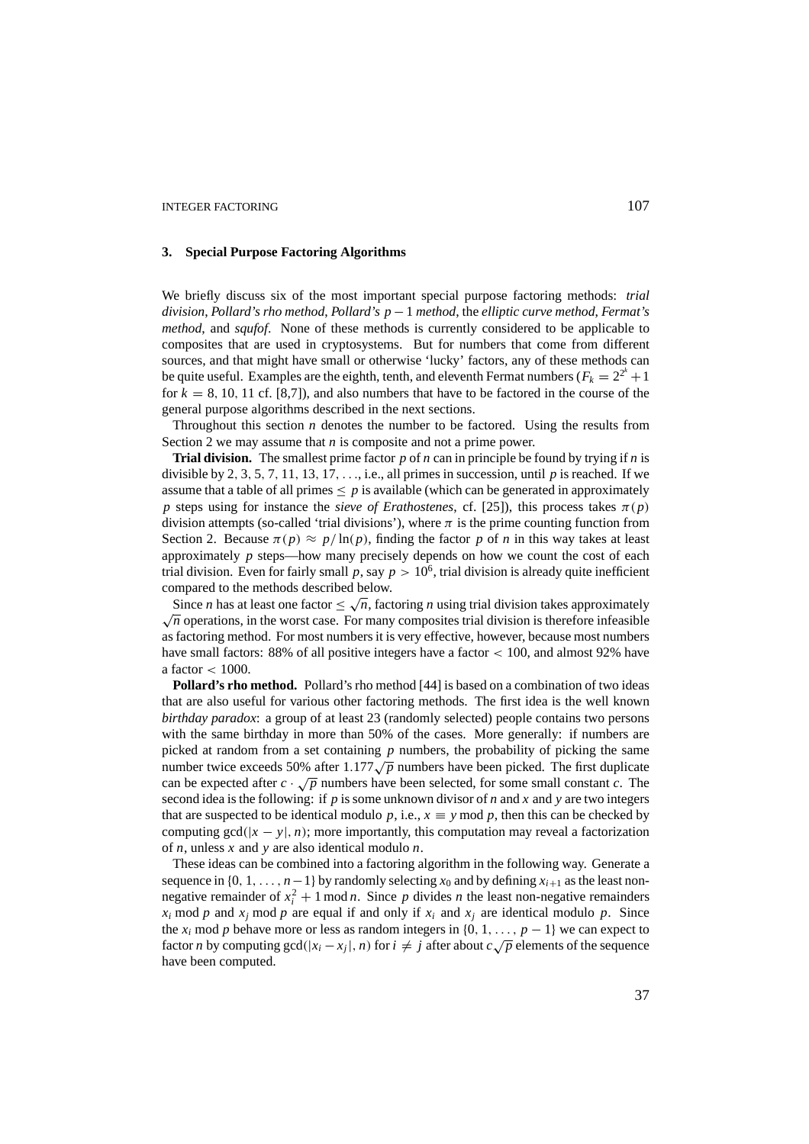# **3. Special Purpose Factoring Algorithms**

We briefly discuss six of the most important special purpose factoring methods: *trial division*, *Pollard's rho method*, *Pollard's p* −1 *method*, the *elliptic curve method*, *Fermat's method*, and *squfof*. None of these methods is currently considered to be applicable to composites that are used in cryptosystems. But for numbers that come from different sources, and that might have small or otherwise 'lucky' factors, any of these methods can be quite useful. Examples are the eighth, tenth, and eleventh Fermat numbers ( $F_k = 2^{2^k} + 1$ for  $k = 8$ , 10, 11 cf. [8,7]), and also numbers that have to be factored in the course of the general purpose algorithms described in the next sections.

Throughout this section *n* denotes the number to be factored. Using the results from Section 2 we may assume that *n* is composite and not a prime power.

**Trial division.** The smallest prime factor *p* of *n* can in principle be found by trying if *n* is divisible by 2, 3, 5, 7, 11, 13, 17,  $\dots$ , i.e., all primes in succession, until p is reached. If we assume that a table of all primes  $\leq p$  is available (which can be generated in approximately *p* steps using for instance the *sieve of Erathostenes*, cf. [25]), this process takes  $\pi(p)$ division attempts (so-called 'trial divisions'), where  $\pi$  is the prime counting function from Section 2. Because  $\pi(p) \approx p/\ln(p)$ , finding the factor p of n in this way takes at least approximately *p* steps—how many precisely depends on how we count the cost of each trial division. Even for fairly small  $p$ , say  $p > 10^6$ , trial division is already quite inefficient compared to the methods described below.

Since *n* has at least one factor  $\leq \sqrt{n}$ , factoring *n* using trial division takes approximately  $\sqrt{n}$  operations, in the worst case. For many composites trial division is therefore infeasible as factoring method. For most numbers it is very effective, however, because most numbers have small factors: 88% of all positive integers have a factor  $< 100$ , and almost 92% have a factor < 1000.

**Pollard's rho method.** Pollard's rho method [44] is based on a combination of two ideas that are also useful for various other factoring methods. The first idea is the well known *birthday paradox*: a group of at least 23 (randomly selected) people contains two persons with the same birthday in more than 50% of the cases. More generally: if numbers are picked at random from a set containing *p* numbers, the probability of picking the same number twice exceeds 50% after 1.177 $\sqrt{p}$  numbers have been picked. The first duplicate ramber twice exects 50% after  $f: V \rightarrow V$  *p* numbers have been please. The first diplicate can be expected after  $c \cdot \sqrt{p}$  numbers have been selected, for some small constant *c*. The second idea is the following: if  $p$  is some unknown divisor of  $n$  and  $x$  and  $y$  are two integers that are suspected to be identical modulo p, i.e.,  $x \equiv y \mod p$ , then this can be checked by computing  $gcd(|x - y|, n)$ ; more importantly, this computation may reveal a factorization of *n*, unless *x* and *y* are also identical modulo *n*.

These ideas can be combined into a factoring algorithm in the following way. Generate a sequence in  $\{0, 1, \ldots, n-1\}$  by randomly selecting  $x_0$  and by defining  $x_{i+1}$  as the least nonnegative remainder of  $x_i^2 + 1 \text{ mod } n$ . Since p divides *n* the least non-negative remainders  $x_i$  mod *p* and  $x_j$  mod *p* are equal if and only if  $x_i$  and  $x_j$  are identical modulo *p*. Since the  $x_i$  mod *p* behave more or less as random integers in  $\{0, 1, \ldots, p-1\}$  we can expect to factor *n* by computing gcd( $|x_i - x_j|$ , *n*) for  $i \neq j$  after about  $c\sqrt{p}$  elements of the sequence have been computed.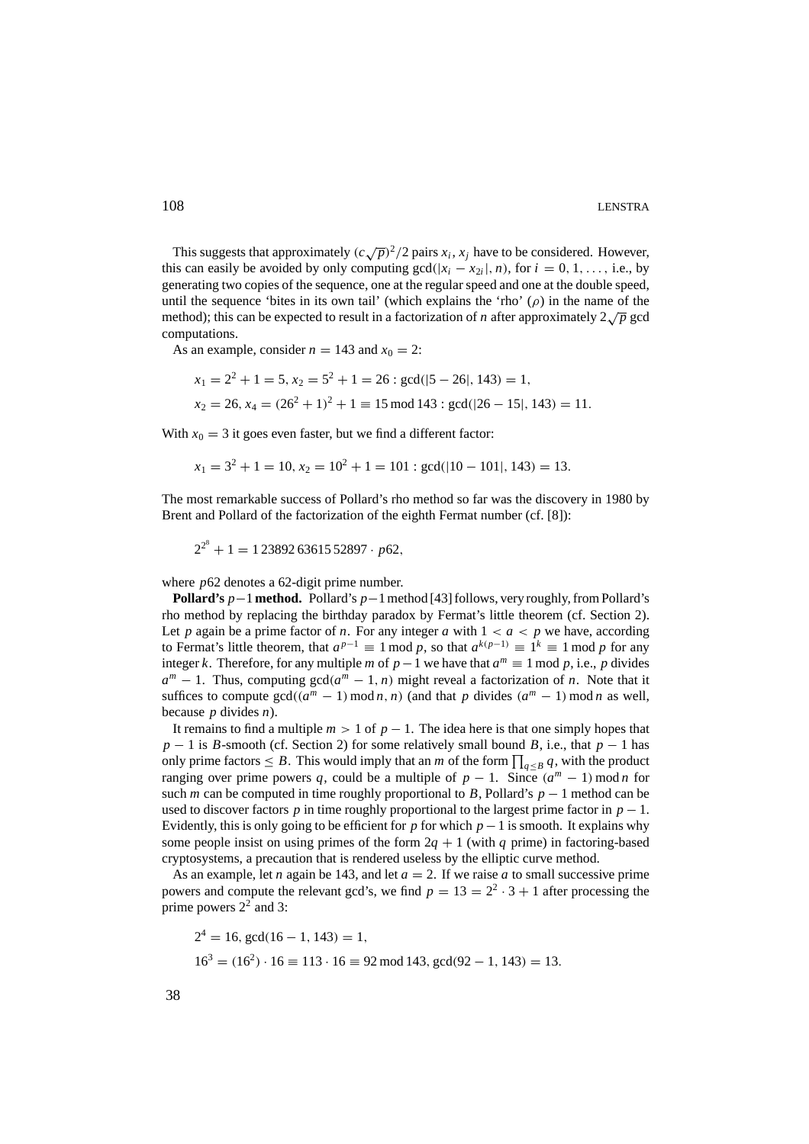This suggests that approximately  $(c\sqrt{p})^2/2$  pairs  $x_i$ ,  $x_j$  have to be considered. However, this can easily be avoided by only computing  $gcd(|x_i - x_{2i}|, n)$ , for  $i = 0, 1, \ldots$ , i.e., by generating two copies of the sequence, one at the regular speed and one at the double speed, until the sequence 'bites in its own tail' (which explains the 'rho'  $(\rho)$  in the name of the method); this can be expected to result in a factorization of *n* after approximately  $2\sqrt{p}$  gcd computations.

As an example, consider  $n = 143$  and  $x_0 = 2$ :

$$
x_1 = 2^2 + 1 = 5
$$
,  $x_2 = 5^2 + 1 = 26$ :  $gcd(|5 - 26|, 143) = 1$ ,  
\n $x_2 = 26$ ,  $x_4 = (26^2 + 1)^2 + 1 \equiv 15 \mod 143$ :  $gcd(|26 - 15|, 143) = 11$ .

With  $x_0 = 3$  it goes even faster, but we find a different factor:

$$
x_1 = 3^2 + 1 = 10
$$
,  $x_2 = 10^2 + 1 = 101$  :  $gcd(|10 - 101|, 143) = 13$ .

The most remarkable success of Pollard's rho method so far was the discovery in 1980 by Brent and Pollard of the factorization of the eighth Fermat number (cf. [8]):

$$
2^{2^8} + 1 = 1\,23892\,63615\,52897\cdot p62,
$$

where  $p62$  denotes a 62-digit prime number.

**Pollard's** *p*−1 **method.** Pollard's *p*−1 method [43] follows, very roughly, from Pollard's rho method by replacing the birthday paradox by Fermat's little theorem (cf. Section 2). Let *p* again be a prime factor of *n*. For any integer *a* with  $1 < a < p$  we have, according to Fermat's little theorem, that  $a^{p-1} \equiv 1 \mod p$ , so that  $a^{k(p-1)} \equiv 1^k \equiv 1 \mod p$  for any integer *k*. Therefore, for any multiple *m* of  $p-1$  we have that  $a^m \equiv 1 \mod p$ , i.e., *p* divides  $a^m - 1$ . Thus, computing  $gcd(a^m - 1, n)$  might reveal a factorization of *n*. Note that it suffices to compute  $gcd((a^m - 1) \mod n, n)$  (and that *p* divides  $(a^m - 1) \mod n$  as well, because *p* divides *n*).

It remains to find a multiple  $m > 1$  of  $p - 1$ . The idea here is that one simply hopes that *p* − 1 is *B*-smooth (cf. Section 2) for some relatively small bound *B*, i.e., that *p* − 1 has only prime factors  $\leq B$ . This would imply that an *m* of the form  $\prod_{q \leq B} q$ , with the product ranging over prime powers *q*, could be a multiple of  $p - 1$ . Since  $(a^m - 1) \mod n$  for such *m* can be computed in time roughly proportional to *B*, Pollard's  $p - 1$  method can be used to discover factors  $p$  in time roughly proportional to the largest prime factor in  $p - 1$ . Evidently, this is only going to be efficient for *p* for which  $p - 1$  is smooth. It explains why some people insist on using primes of the form  $2q + 1$  (with q prime) in factoring-based cryptosystems, a precaution that is rendered useless by the elliptic curve method.

As an example, let *n* again be 143, and let  $a = 2$ . If we raise *a* to small successive prime powers and compute the relevant gcd's, we find  $p = 13 = 2^2 \cdot 3 + 1$  after processing the prime powers  $2^2$  and 3:

$$
2^4 = 16
$$
, gcd $(16 - 1, 143) = 1$ ,  
 $16^3 = (16^2) \cdot 16 \equiv 113 \cdot 16 \equiv 92 \mod 143$ , gcd $(92 - 1, 143) = 13$ .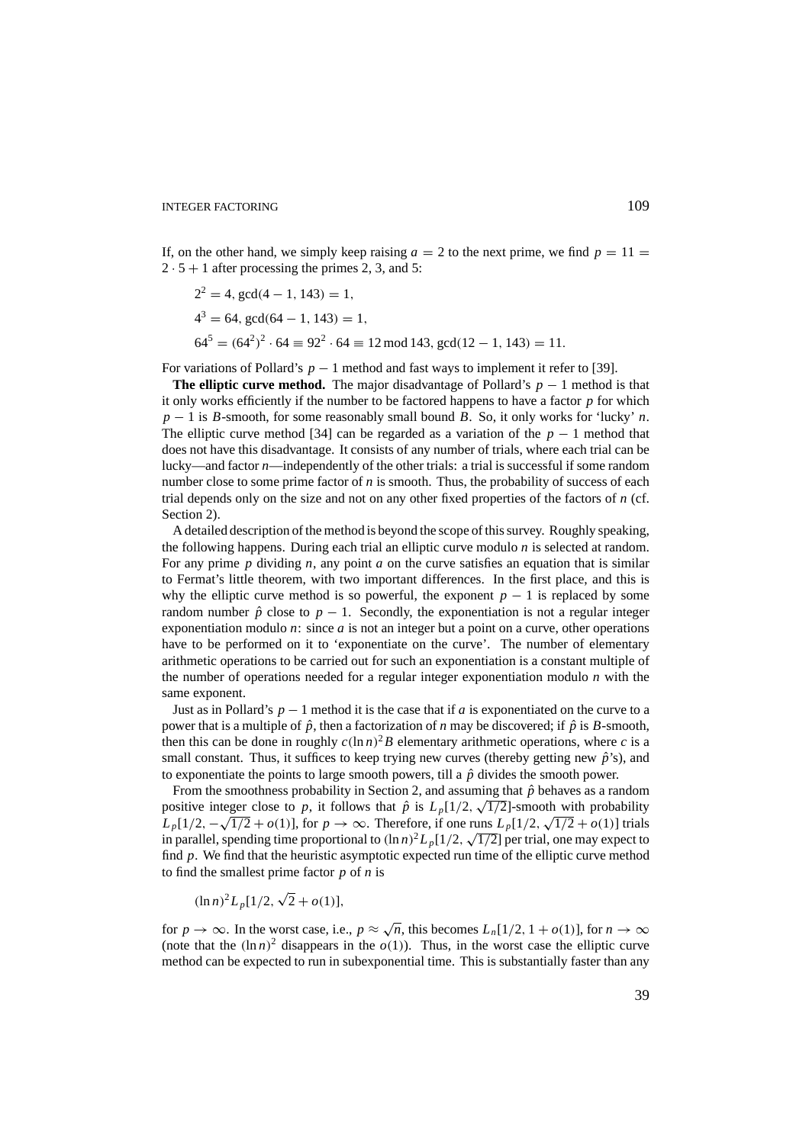If, on the other hand, we simply keep raising  $a = 2$  to the next prime, we find  $p = 11$  $2 \cdot 5 + 1$  after processing the primes 2, 3, and 5:

$$
22 = 4, gcd(4 - 1, 143) = 1,43 = 64, gcd(64 - 1, 143) = 1,645 = (642)2 · 64 = 922 · 64 = 12 mod 143, gcd(12 - 1, 143) = 11.
$$

For variations of Pollard's  $p - 1$  method and fast ways to implement it refer to [39].

**The elliptic curve method.** The major disadvantage of Pollard's  $p - 1$  method is that it only works efficiently if the number to be factored happens to have a factor  $p$  for which *p* − 1 is *B*-smooth, for some reasonably small bound *B*. So, it only works for 'lucky' *n*. The elliptic curve method [34] can be regarded as a variation of the  $p - 1$  method that does not have this disadvantage. It consists of any number of trials, where each trial can be lucky—and factor *n*—independently of the other trials: a trial is successful if some random number close to some prime factor of *n* is smooth. Thus, the probability of success of each trial depends only on the size and not on any other fixed properties of the factors of *n* (cf. Section 2).

A detailed description of the method is beyond the scope of this survey. Roughly speaking, the following happens. During each trial an elliptic curve modulo *n* is selected at random. For any prime *p* dividing *n*, any point *a* on the curve satisfies an equation that is similar to Fermat's little theorem, with two important differences. In the first place, and this is why the elliptic curve method is so powerful, the exponent  $p - 1$  is replaced by some random number  $\hat{p}$  close to  $p-1$ . Secondly, the exponentiation is not a regular integer exponentiation modulo *n*: since *a* is not an integer but a point on a curve, other operations have to be performed on it to 'exponentiate on the curve'. The number of elementary arithmetic operations to be carried out for such an exponentiation is a constant multiple of the number of operations needed for a regular integer exponentiation modulo *n* with the same exponent.

Just as in Pollard's  $p-1$  method it is the case that if *a* is exponentiated on the curve to a power that is a multiple of  $\hat{p}$ , then a factorization of *n* may be discovered; if  $\hat{p}$  is *B*-smooth, then this can be done in roughly  $c(\ln n)^2 B$  elementary arithmetic operations, where *c* is a small constant. Thus, it suffices to keep trying new curves (thereby getting new  $\hat{p}$ 's), and to exponentiate the points to large smooth powers, till a  $\hat{p}$  divides the smooth power.

From the smoothness probability in Section 2, and assuming that  $\hat{p}$  behaves as a random From the smoothness probability in Section 2, and assuming that *p* behaves as a random positive integer close to *p*, it follows that  $\hat{p}$  is  $L_p[1/2, \sqrt{1/2}]$ -smooth with probability positive integer close to p, it ionows that p is  $L_p[1/2, \sqrt{1/2}]$ -smooth with probability  $L_p[1/2, -\sqrt{1/2} + o(1)]$ , for  $p \to \infty$ . Therefore, if one runs  $L_p[1/2, \sqrt{1/2} + o(1)]$  trials  $L_p[1/2, -\sqrt{1/2} + o(1)]$ , for  $p \to \infty$ . Therefore, if one runs  $L_p[1/2, \sqrt{1/2} + o(1)]$  trials in parallel, spending time proportional to  $(\ln n)^2 L_p[1/2, \sqrt{1/2}]$  per trial, one may expect to find *p*. We find that the heuristic asymptotic expected run time of the elliptic curve method to find the smallest prime factor *p* of *n* is

$$
(\ln n)^2 L_p[1/2, \sqrt{2} + o(1)],
$$

for  $p \to \infty$ . In the worst case, i.e.,  $p \approx \sqrt{n}$ , this becomes  $L_n[1/2, 1 + o(1)]$ , for  $n \to \infty$ (note that the  $(\ln n)^2$  disappears in the  $o(1)$ ). Thus, in the worst case the elliptic curve method can be expected to run in subexponential time. This is substantially faster than any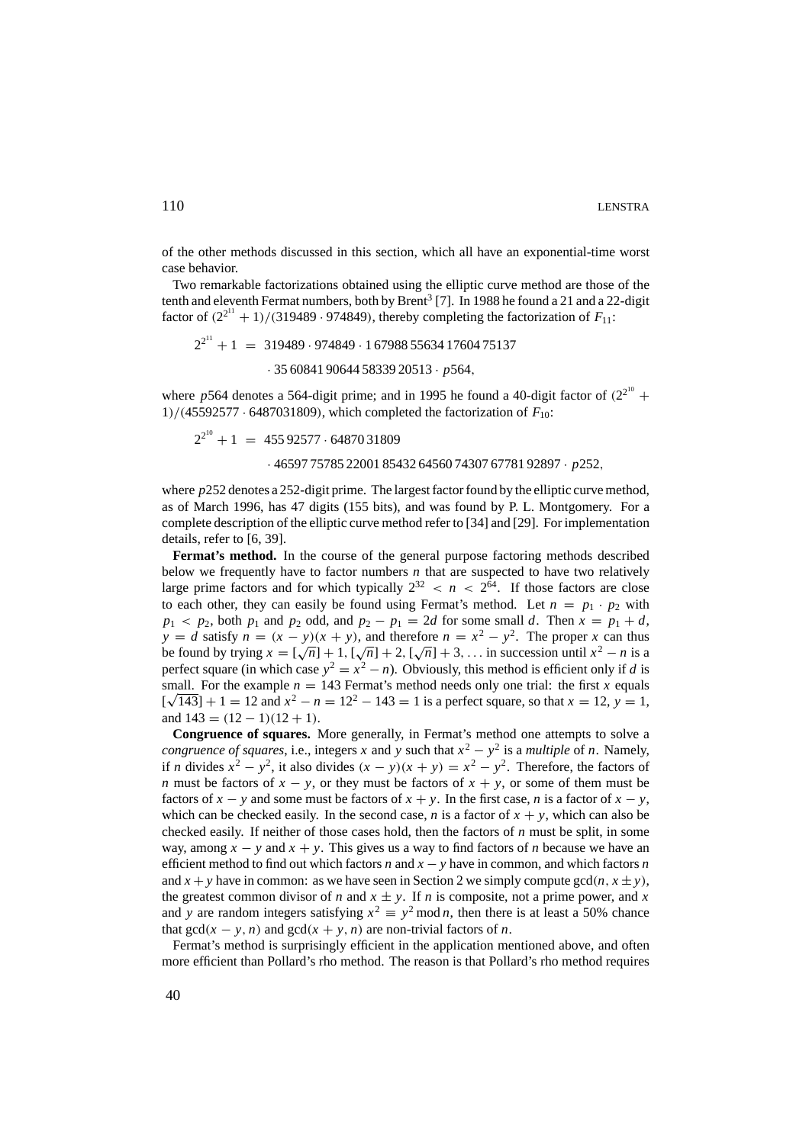of the other methods discussed in this section, which all have an exponential-time worst case behavior.

Two remarkable factorizations obtained using the elliptic curve method are those of the tenth and eleventh Fermat numbers, both by Brent<sup>3</sup> [7]. In 1988 he found a 21 and a 22-digit factor of  $(2^{2^{11}} + 1)/(319489 \cdot 974849)$ , thereby completing the factorization of  $F_{11}$ :

$$
2^{2^{11}} + 1 = 319489 \cdot 974849 \cdot 167988556341760475137
$$

$$
\cdot 3560841906445833920513 \cdot p564,
$$

where p564 denotes a 564-digit prime; and in 1995 he found a 40-digit factor of  $(2^{2^{10}} +$ 1)/(45592577  $\cdot$  6487031809), which completed the factorization of  $F_{10}$ :

$$
2^{2^{10}} + 1 = 455\,92577 \cdot 64870\,31809
$$
  
 
$$
\cdot 46597\,75785\,22001\,85432\,64560\,74307\,67781\,92897 \cdot p252,
$$

where  $p252$  denotes a 252-digit prime. The largest factor found by the elliptic curve method, as of March 1996, has 47 digits (155 bits), and was found by P. L. Montgomery. For a complete description of the elliptic curve method refer to [34] and [29]. For implementation details, refer to [6, 39].

**Fermat's method.** In the course of the general purpose factoring methods described below we frequently have to factor numbers  $n$  that are suspected to have two relatively large prime factors and for which typically  $2^{32} < n < 2^{64}$ . If those factors are close to each other, they can easily be found using Fermat's method. Let  $n = p_1 \cdot p_2$  with  $p_1 < p_2$ , both  $p_1$  and  $p_2$  odd, and  $p_2 - p_1 = 2d$  for some small *d*. Then  $x = p_1 + d$ , *y* = *d* satisfy  $n = (x - y)(x + y)$ , and therefore  $n = x^2 - y^2$ . The proper *x* can thus  $\begin{bmatrix} y = a \text{ satisfy } n = (x - y)(x + y), \text{ and therefore } n = x - y. \text{ The proper } x \text{ can thus}$ <br>be found by trying  $x = [\sqrt{n}] + 1, [\sqrt{n}] + 2, [\sqrt{n}] + 3, \dots$  in succession until  $x^2 - n$  is a perfect square (in which case  $y^2 = x^2 - n$ ). Obviously, this method is efficient only if *d* is small. For the example  $n = 143$  Fermat's method needs only one trial: the first *x* equals small. For the example  $n = 143$  Fermat s method needs only one trial: the first x equals  $[\sqrt{143}] + 1 = 12$  and  $x^2 - n = 12^2 - 143 = 1$  is a perfect square, so that  $x = 12$ ,  $y = 1$ , and  $143 = (12 - 1)(12 + 1)$ .

**Congruence of squares.** More generally, in Fermat's method one attempts to solve a *congruence of squares, i.e., integers x and y such that*  $x^2 - y^2$  *is a <i>multiple* of *n*. Namely, if *n* divides  $x^2 - y^2$ , it also divides  $(x - y)(x + y) = x^2 - y^2$ . Therefore, the factors of *n* must be factors of  $x - y$ , or they must be factors of  $x + y$ , or some of them must be factors of  $x - y$  and some must be factors of  $x + y$ . In the first case, *n* is a factor of  $x - y$ , which can be checked easily. In the second case, *n* is a factor of  $x + y$ , which can also be checked easily. If neither of those cases hold, then the factors of  $n$  must be split, in some way, among  $x - y$  and  $x + y$ . This gives us a way to find factors of *n* because we have an efficient method to find out which factors *n* and *x* − *y* have in common, and which factors *n* and  $x + y$  have in common: as we have seen in Section 2 we simply compute  $gcd(n, x \pm y)$ , the greatest common divisor of *n* and  $x \pm y$ . If *n* is composite, not a prime power, and *x* and *y* are random integers satisfying  $x^2 \equiv y^2 \mod n$ , then there is at least a 50% chance that  $gcd(x - y, n)$  and  $gcd(x + y, n)$  are non-trivial factors of *n*.

Fermat's method is surprisingly efficient in the application mentioned above, and often more efficient than Pollard's rho method. The reason is that Pollard's rho method requires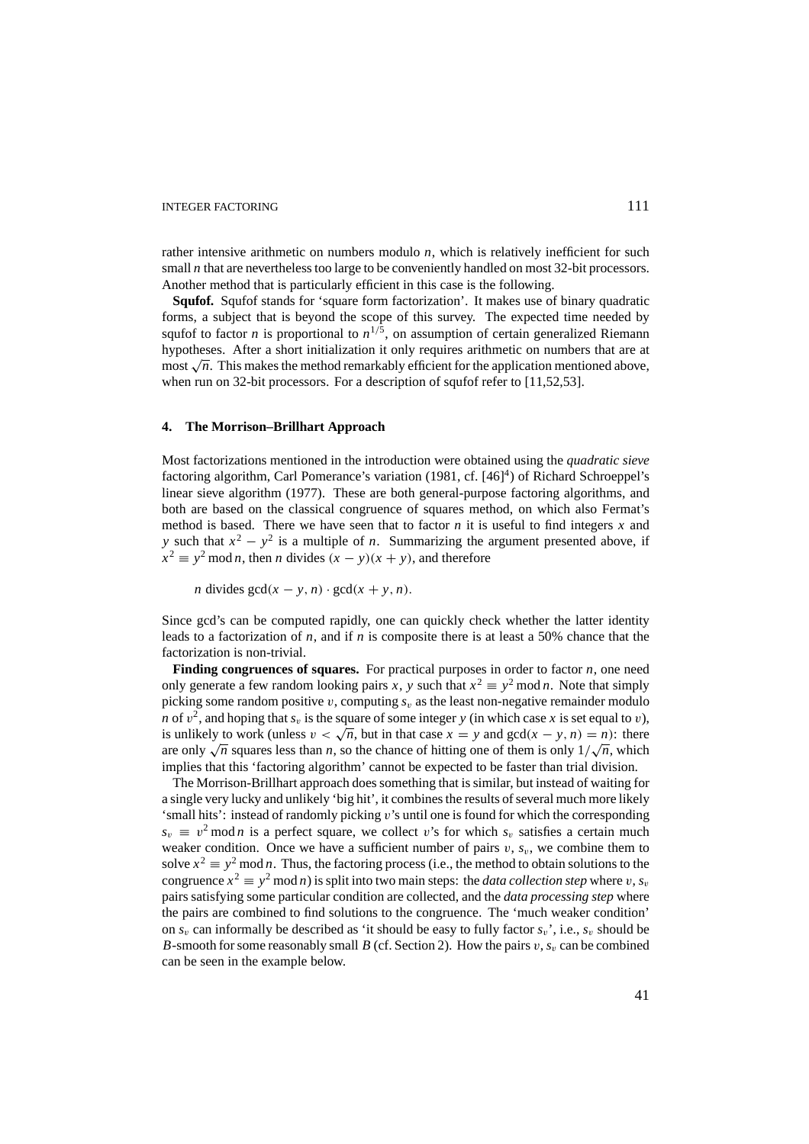rather intensive arithmetic on numbers modulo *n*, which is relatively inefficient for such small *n* that are nevertheless too large to be conveniently handled on most 32-bit processors. Another method that is particularly efficient in this case is the following.

**Squfof.** Squfof stands for 'square form factorization'. It makes use of binary quadratic forms, a subject that is beyond the scope of this survey. The expected time needed by squfof to factor *n* is proportional to  $n^{1/5}$ , on assumption of certain generalized Riemann hypotheses. After a short initialization it only requires arithmetic on numbers that are at most  $\sqrt{n}$ . This makes the method remarkably efficient for the application mentioned above, when run on 32-bit processors. For a description of squfof refer to [11,52,53].

### **4. The Morrison–Brillhart Approach**

Most factorizations mentioned in the introduction were obtained using the *quadratic sieve* factoring algorithm, Carl Pomerance's variation (1981, cf. [46]4) of Richard Schroeppel's linear sieve algorithm (1977). These are both general-purpose factoring algorithms, and both are based on the classical congruence of squares method, on which also Fermat's method is based. There we have seen that to factor *n* it is useful to find integers *x* and *y* such that  $x^2 - y^2$  is a multiple of *n*. Summarizing the argument presented above, if  $x^2 \equiv y^2 \mod n$ , then *n* divides  $(x - y)(x + y)$ , and therefore

*n* divides  $gcd(x - y, n) \cdot gcd(x + y, n)$ .

Since gcd's can be computed rapidly, one can quickly check whether the latter identity leads to a factorization of *n*, and if *n* is composite there is at least a 50% chance that the factorization is non-trivial.

**Finding congruences of squares.** For practical purposes in order to factor  $n$ , one need only generate a few random looking pairs *x*, *y* such that  $x^2 \equiv y^2 \mod n$ . Note that simply picking some random positive  $v$ , computing  $s<sub>v</sub>$  as the least non-negative remainder modulo *n* of  $v^2$ , and hoping that  $s_v$  is the square of some integer y (in which case x is set equal to v), is unlikely to work (unless  $v < \sqrt{n}$ , but in that case  $x = y$  and  $gcd(x - y, n) = n$ ): there are only  $\sqrt{n}$  squares less than *n*, so the chance of hitting one of them is only  $1/\sqrt{n}$ , which implies that this 'factoring algorithm' cannot be expected to be faster than trial division.

The Morrison-Brillhart approach does something that is similar, but instead of waiting for a single very lucky and unlikely 'big hit', it combines the results of several much more likely 'small hits': instead of randomly picking  $v$ 's until one is found for which the corresponding  $s_v \equiv v^2 \mod n$  is a perfect square, we collect v's for which  $s_v$  satisfies a certain much weaker condition. Once we have a sufficient number of pairs  $v$ ,  $s_v$ , we combine them to solve  $x^2 \equiv y^2 \mod n$ . Thus, the factoring process (i.e., the method to obtain solutions to the congruence  $x^2 \equiv y^2 \mod n$  is split into two main steps: the *data collection step* where v,  $s_v$ pairs satisfying some particular condition are collected, and the *data processing step* where the pairs are combined to find solutions to the congruence. The 'much weaker condition' on  $s_v$  can informally be described as 'it should be easy to fully factor  $s_v$ ', i.e.,  $s_v$  should be *B*-smooth for some reasonably small *B* (cf. Section 2). How the pairs v,  $s_v$  can be combined can be seen in the example below.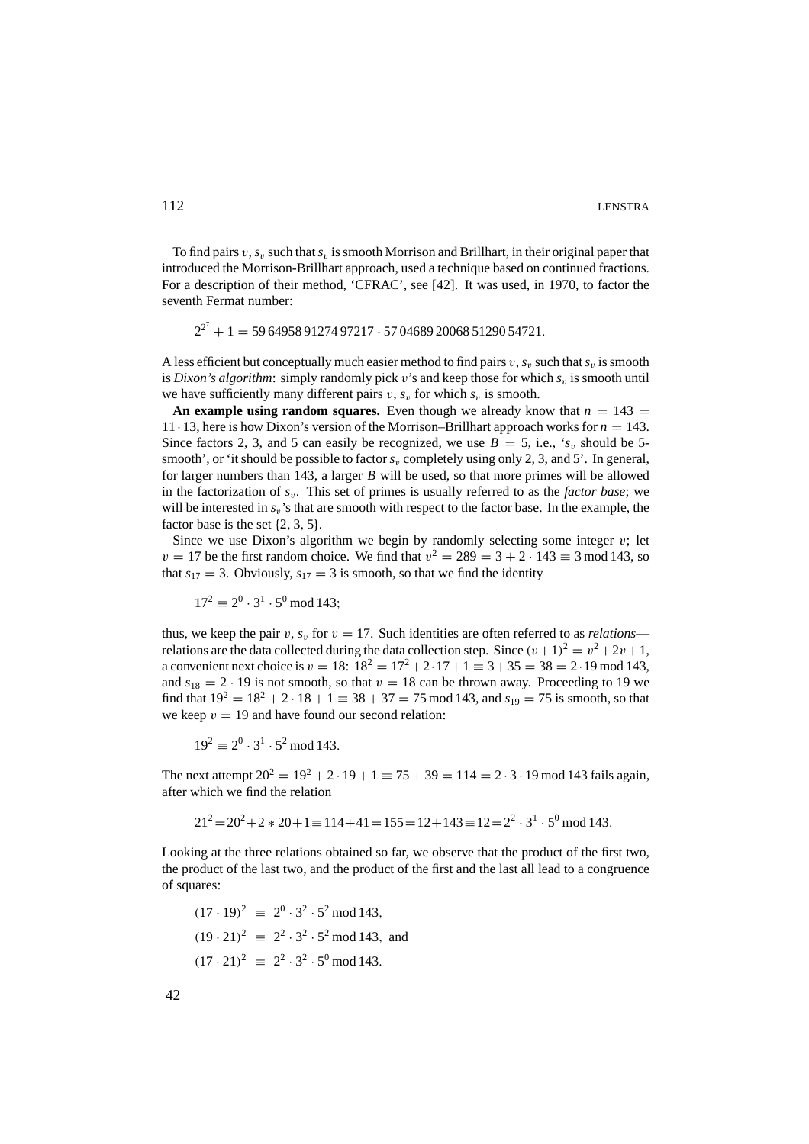To find pairs  $v, s_v$  such that  $s_v$  is smooth Morrison and Brillhart, in their original paper that introduced the Morrison-Brillhart approach, used a technique based on continued fractions. For a description of their method, 'CFRAC', see [42]. It was used, in 1970, to factor the seventh Fermat number:

$$
2^{2^7} + 1 = 59\,64958\,91274\,97217\cdot 57\,04689\,20068\,51290\,54721.
$$

A less efficient but conceptually much easier method to find pairs  $v, s_v$  such that  $s_v$  is smooth is *Dixon's algorithm*: simply randomly pick v's and keep those for which  $s<sub>v</sub>$  is smooth until we have sufficiently many different pairs  $v$ ,  $s<sub>v</sub>$  for which  $s<sub>v</sub>$  is smooth.

**An example using random squares.** Even though we already know that  $n = 143$ 11 · 13, here is how Dixon's version of the Morrison–Brillhart approach works for *n* = 143. Since factors 2, 3, and 5 can easily be recognized, we use  $B = 5$ , i.e., 's<sub>v</sub> should be 5smooth', or 'it should be possible to factor  $s<sub>v</sub>$  completely using only 2, 3, and 5'. In general, for larger numbers than 143, a larger *B* will be used, so that more primes will be allowed in the factorization of  $s<sub>v</sub>$ . This set of primes is usually referred to as the *factor base*; we will be interested in  $s_v$ 's that are smooth with respect to the factor base. In the example, the factor base is the set  $\{2, 3, 5\}$ .

Since we use Dixon's algorithm we begin by randomly selecting some integer  $v$ ; let  $v = 17$  be the first random choice. We find that  $v^2 = 289 = 3 + 2 \cdot 143 \equiv 3 \mod 143$ , so that  $s_{17} = 3$ . Obviously,  $s_{17} = 3$  is smooth, so that we find the identity

$$
17^2 \equiv 2^0 \cdot 3^1 \cdot 5^0 \mod{143};
$$

thus, we keep the pair v,  $s_v$  for  $v = 17$ . Such identities are often referred to as *relations* relations are the data collected during the data collection step. Since  $(v+1)^2 = v^2 + 2v + 1$ , a convenient next choice is  $v = 18$ :  $18^2 = 17^2 + 2 \cdot 17 + 1 \equiv 3 + 35 = 38 = 2 \cdot 19 \mod 143$ , and  $s_{18} = 2 \cdot 19$  is not smooth, so that  $v = 18$  can be thrown away. Proceeding to 19 we find that  $19^2 = 18^2 + 2 \cdot 18 + 1 \equiv 38 + 37 = 75 \pmod{143}$ , and  $s_{19} = 75$  is smooth, so that we keep  $v = 19$  and have found our second relation:

 $19^2 \equiv 2^0 \cdot 3^1 \cdot 5^2 \mod 143$ .

The next attempt  $20^2 = 19^2 + 2 \cdot 19 + 1 \equiv 75 + 39 = 114 = 2 \cdot 3 \cdot 19$  mod 143 fails again, after which we find the relation

$$
212 = 202 + 2 \times 20 + 1 \equiv 114 + 41 = 155 = 12 + 143 \equiv 12 = 22 \cdot 31 \cdot 50 \mod 143.
$$

Looking at the three relations obtained so far, we observe that the product of the first two, the product of the last two, and the product of the first and the last all lead to a congruence of squares:

$$
(17 \cdot 19)^2 \equiv 2^0 \cdot 3^2 \cdot 5^2 \mod 143,
$$
  

$$
(19 \cdot 21)^2 \equiv 2^2 \cdot 3^2 \cdot 5^2 \mod 143, \text{ and}
$$
  

$$
(17 \cdot 21)^2 \equiv 2^2 \cdot 3^2 \cdot 5^0 \mod 143.
$$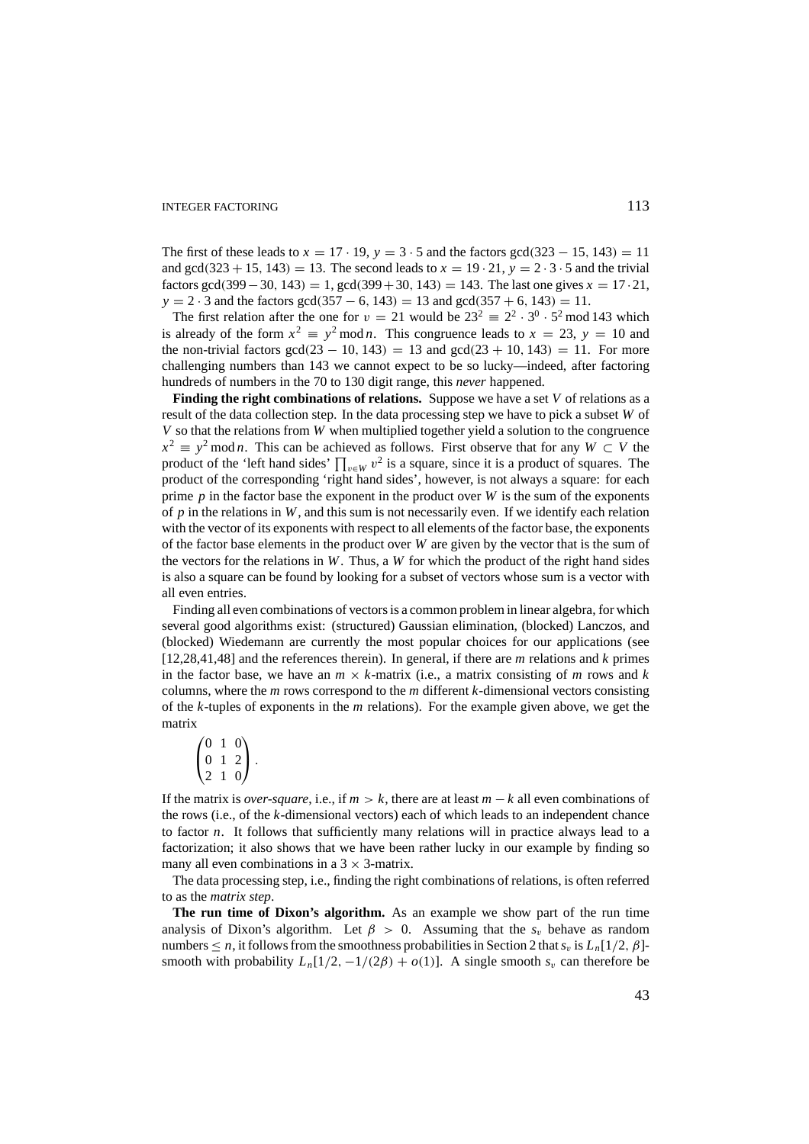The first of these leads to  $x = 17 \cdot 19$ ,  $y = 3 \cdot 5$  and the factors gcd(323 – 15, 143) = 11 and gcd(323 + 15, 143) = 13. The second leads to  $x = 19 \cdot 21$ ,  $y = 2 \cdot 3 \cdot 5$  and the trivial factors gcd(399 – 30, 143) = 1, gcd(399 + 30, 143) = 143. The last one gives  $x = 17 \cdot 21$ , *y* = 2 · 3 and the factors gcd(357 – 6, 143) = 13 and gcd(357 + 6, 143) = 11.

The first relation after the one for  $v = 21$  would be  $23^2 \equiv 2^2 \cdot 3^0 \cdot 5^2$  mod 143 which is already of the form  $x^2 \equiv y^2 \mod n$ . This congruence leads to  $x = 23$ ,  $y = 10$  and the non-trivial factors  $gcd(23 - 10, 143) = 13$  and  $gcd(23 + 10, 143) = 11$ . For more challenging numbers than 143 we cannot expect to be so lucky—indeed, after factoring hundreds of numbers in the 70 to 130 digit range, this *never* happened.

**Finding the right combinations of relations.** Suppose we have a set *V* of relations as a result of the data collection step. In the data processing step we have to pick a subset *W* of *V* so that the relations from *W* when multiplied together yield a solution to the congruence  $x^2 \equiv y^2 \mod n$ . This can be achieved as follows. First observe that for any  $W \subset V$  the product of the 'left hand sides'  $\prod_{v \in W} v^2$  is a square, since it is a product of squares. The product of the corresponding 'right hand sides', however, is not always a square: for each prime  $p$  in the factor base the exponent in the product over  $W$  is the sum of the exponents of  $p$  in the relations in  $W$ , and this sum is not necessarily even. If we identify each relation with the vector of its exponents with respect to all elements of the factor base, the exponents of the factor base elements in the product over *W* are given by the vector that is the sum of the vectors for the relations in  $W$ . Thus, a  $W$  for which the product of the right hand sides is also a square can be found by looking for a subset of vectors whose sum is a vector with all even entries.

Finding all even combinations of vectors is a common problem in linear algebra, for which several good algorithms exist: (structured) Gaussian elimination, (blocked) Lanczos, and (blocked) Wiedemann are currently the most popular choices for our applications (see [12,28,41,48] and the references therein). In general, if there are *m* relations and *k* primes in the factor base, we have an  $m \times k$ -matrix (i.e., a matrix consisting of *m* rows and *k* columns, where the *m* rows correspond to the *m* different *k*-dimensional vectors consisting of the *k*-tuples of exponents in the *m* relations). For the example given above, we get the matrix

$$
\begin{pmatrix} 0 & 1 & 0 \\ 0 & 1 & 2 \\ 2 & 1 & 0 \end{pmatrix}.
$$

If the matrix is *over-square*, i.e., if  $m > k$ , there are at least  $m - k$  all even combinations of the rows (i.e., of the *k*-dimensional vectors) each of which leads to an independent chance to factor *n*. It follows that sufficiently many relations will in practice always lead to a factorization; it also shows that we have been rather lucky in our example by finding so many all even combinations in a  $3 \times 3$ -matrix.

The data processing step, i.e., finding the right combinations of relations, is often referred to as the *matrix step*.

**The run time of Dixon's algorithm.** As an example we show part of the run time analysis of Dixon's algorithm. Let  $\beta > 0$ . Assuming that the  $s_n$  behave as random numbers  $\le n$ , it follows from the smoothness probabilities in Section 2 that  $s_n$  is  $L_n[1/2, \beta]$ smooth with probability  $L_n[1/2, -1/(2\beta) + o(1)]$ . A single smooth  $s_n$  can therefore be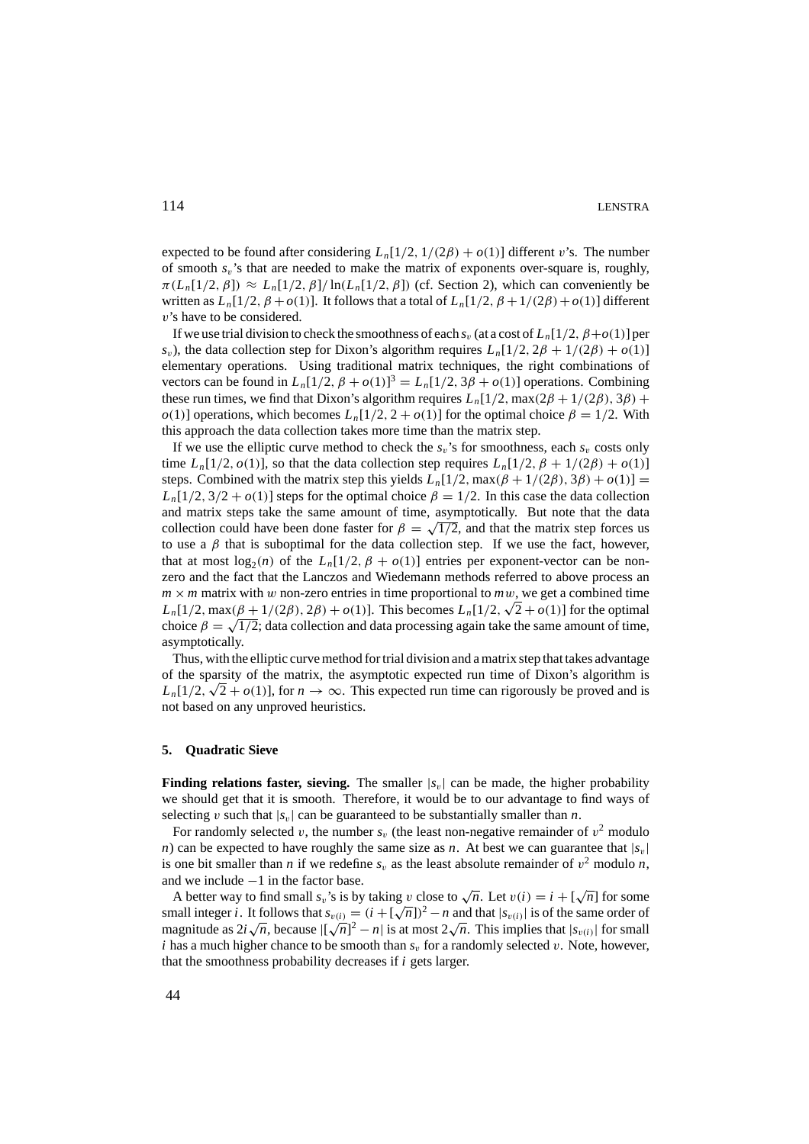expected to be found after considering  $L_n[1/2, 1/(2\beta) + o(1)]$  different v's. The number of smooth *s*v's that are needed to make the matrix of exponents over-square is, roughly,  $\pi(L_n[1/2, \beta]) \approx L_n[1/2, \beta]/\ln(L_n[1/2, \beta])$  (cf. Section 2), which can conveniently be written as  $L_n[1/2, \beta + o(1)]$ . It follows that a total of  $L_n[1/2, \beta + 1/(2\beta) + o(1)]$  different v's have to be considered.

If we use trial division to check the smoothness of each  $s_v$  (at a cost of  $L_n[1/2, \beta + o(1)]$  per  $s_v$ ), the data collection step for Dixon's algorithm requires  $L_n[1/2, 2\beta + 1/(2\beta) + o(1)]$ elementary operations. Using traditional matrix techniques, the right combinations of vectors can be found in  $L_n[1/2, \beta + o(1)]^3 = L_n[1/2, 3\beta + o(1)]$  operations. Combining these run times, we find that Dixon's algorithm requires  $L_n[1/2, \max(2\beta + 1/(2\beta), 3\beta)$  +  $o(1)$ ] operations, which becomes  $L_n[1/2, 2 + o(1)]$  for the optimal choice  $\beta = 1/2$ . With this approach the data collection takes more time than the matrix step.

If we use the elliptic curve method to check the  $s_v$ 's for smoothness, each  $s_v$  costs only time  $L_n[1/2, o(1)]$ , so that the data collection step requires  $L_n[1/2, \beta + 1/(2\beta) + o(1)]$ steps. Combined with the matrix step this yields  $L_n[1/2, \max(\beta + 1/(2\beta), 3\beta) + o(1)] =$  $L_n[1/2, 3/2 + o(1)]$  steps for the optimal choice  $\beta = 1/2$ . In this case the data collection and matrix steps take the same amount of time, asymptotically. But note that the data collection could have been done faster for  $\beta = \sqrt{1/2}$ , and that the matrix step forces us to use a  $\beta$  that is suboptimal for the data collection step. If we use the fact, however, that at most  $\log_2(n)$  of the  $L_n[1/2, \beta + o(1)]$  entries per exponent-vector can be nonzero and the fact that the Lanczos and Wiedemann methods referred to above process an  $m \times m$  matrix with w non-zero entries in time proportional to  $mw$ , we get a combined time *m*  $\times$  *m* matrix with *w* non-zero entries in time proportional to *mw*, we get a combined time  $L_n[1/2, \text{max}(\beta + 1/(2\beta), 2\beta) + o(1)]$ . This becomes  $L_n[1/2, \sqrt{2} + o(1)]$  for the optimal choice  $\beta = \sqrt{1/2}$ ; data collection and data processing again take the same amount of time, asymptotically.

Thus, with the elliptic curve method for trial division and a matrix step that takes advantage of the sparsity of the matrix, the asymptotic expected run time of Dixon's algorithm is or the sparsity or the matrix, the asymptotic expected run time or Dixon's algorithm is  $L_n[1/2, \sqrt{2} + o(1)]$ , for  $n \to \infty$ . This expected run time can rigorously be proved and is not based on any unproved heuristics.

### **5. Quadratic Sieve**

**Finding relations faster, sieving.** The smaller  $|s_v|$  can be made, the higher probability we should get that it is smooth. Therefore, it would be to our advantage to find ways of selecting v such that  $|s_n|$  can be guaranteed to be substantially smaller than *n*.

For randomly selected v, the number  $s<sub>v</sub>$  (the least non-negative remainder of  $v<sup>2</sup>$  modulo *n*) can be expected to have roughly the same size as *n*. At best we can guarantee that  $|s_v|$ is one bit smaller than *n* if we redefine  $s_v$  as the least absolute remainder of  $v^2$  modulo *n*, and we include −1 in the factor base.

A better way to find small  $s_v$ 's is by taking v close to  $\sqrt{n}$ . Let  $v(i) = i + [\sqrt{n}]$  for some Solution integer *i*. It follows that  $s_v$  (*i*) =  $(i + [\sqrt{n}])^2 - n$  and that  $|s_{v(i)}|$  is of the same order of  $\sqrt{n}$ . sman integer *t*. It follows that  $s_{\nu(i)} = (i + \sqrt{n}j) - n$  and that  $|s_{\nu(i)}|$  is of the same order of magnitude as  $2i\sqrt{n}$ , because  $\left[\sqrt{n}\right]^2 - n|$  is at most  $2\sqrt{n}$ . This implies that  $|s_{\nu(i)}|$  for small *i* has a much higher chance to be smooth than  $s<sub>y</sub>$  for a randomly selected v. Note, however, that the smoothness probability decreases if *i* gets larger.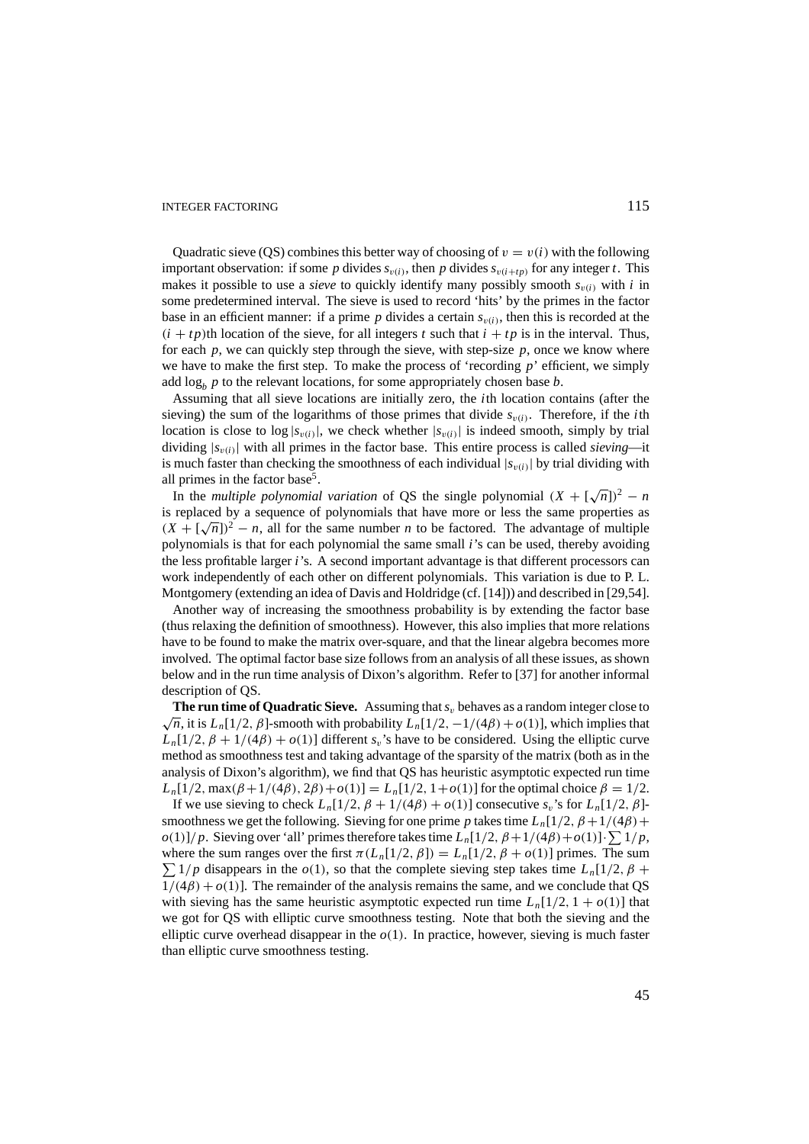Quadratic sieve (QS) combines this better way of choosing of  $v = v(i)$  with the following important observation: if some *p* divides  $s_{v(i)}$ , then *p* divides  $s_{v(i+tp)}$  for any integer *t*. This makes it possible to use a *sieve* to quickly identify many possibly smooth  $s_{v(i)}$  with *i* in some predetermined interval. The sieve is used to record 'hits' by the primes in the factor base in an efficient manner: if a prime  $p$  divides a certain  $s_{v(i)}$ , then this is recorded at the  $(i + tp)$ th location of the sieve, for all integers *t* such that  $i + tp$  is in the interval. Thus, for each  $p$ , we can quickly step through the sieve, with step-size  $p$ , once we know where we have to make the first step. To make the process of 'recording *p*' efficient, we simply add  $\log_b p$  to the relevant locations, for some appropriately chosen base *b*.

Assuming that all sieve locations are initially zero, the *i*th location contains (after the sieving) the sum of the logarithms of those primes that divide  $s_{v(i)}$ . Therefore, if the *i*th location is close to  $log |s_{v(i)}|$ , we check whether  $|s_{v(i)}|$  is indeed smooth, simply by trial dividing  $|s_{\nu(i)}|$  with all primes in the factor base. This entire process is called *sieving*—it is much faster than checking the smoothness of each individual  $|s_{\nu(i)}|$  by trial dividing with all primes in the factor base<sup>5</sup>.

In the *multiple polynomial variation* of QS the single polynomial  $(X + [\sqrt{n}])^2 - n$ is replaced by a sequence of polynomials that have more or less the same properties as (*X* +  $[\sqrt{n}]$ <sup>2</sup> − *n*, all for the same number *n* to be factored. The advantage of multiple polynomials is that for each polynomial the same small *i*'s can be used, thereby avoiding the less profitable larger *i*'s. A second important advantage is that different processors can work independently of each other on different polynomials. This variation is due to P. L. Montgomery (extending an idea of Davis and Holdridge (cf. [14])) and described in [29,54].

Another way of increasing the smoothness probability is by extending the factor base (thus relaxing the definition of smoothness). However, this also implies that more relations have to be found to make the matrix over-square, and that the linear algebra becomes more involved. The optimal factor base size follows from an analysis of all these issues, as shown below and in the run time analysis of Dixon's algorithm. Refer to [37] for another informal description of QS.

**The run time of Quadratic Sieve.** Assuming that  $s<sub>v</sub>$  behaves as a random integer close to  $\sqrt{n}$ , it is  $L_n[1/2, \beta]$ -smooth with probability  $L_n[1/2, -1/(4\beta) + o(1)]$ , which implies that  $L_n[1/2, \beta + 1/(4\beta) + o(1)]$  different *s<sub>v</sub>*'s have to be considered. Using the elliptic curve method as smoothness test and taking advantage of the sparsity of the matrix (both as in the analysis of Dixon's algorithm), we find that QS has heuristic asymptotic expected run time  $L_n[1/2, \max(\beta+1/(4\beta), 2\beta)+o(1)]=L_n[1/2, 1+o(1)]$  for the optimal choice  $\beta=1/2$ .

If we use sieving to check  $L_n[1/2, \beta + 1/(4\beta) + o(1)]$  consecutive  $s_n$ 's for  $L_n[1/2, \beta]$ smoothness we get the following. Sieving for one prime *p* takes time  $L_n[1/2, \beta + 1/(4\beta) +$  $o(1)$ ]/*p*. Sieving over 'all' primes therefore takes time  $L_n[1/2, \beta+1/(4\beta)+o(1)] \cdot \sum 1/p$ , where the sum ranges over the first  $\pi(L_n[1/2, \beta]) = L_n[1/2, \beta + o(1)]$  primes. The sum  $\sum 1/p$  disappears in the *o*(1), so that the complete sieving step takes time  $L_n[1/2, \beta +$  $1/(4\beta) + o(1)$ . The remainder of the analysis remains the same, and we conclude that QS with sieving has the same heuristic asymptotic expected run time  $L_n[1/2, 1 + o(1)]$  that we got for QS with elliptic curve smoothness testing. Note that both the sieving and the elliptic curve overhead disappear in the  $o(1)$ . In practice, however, sieving is much faster than elliptic curve smoothness testing.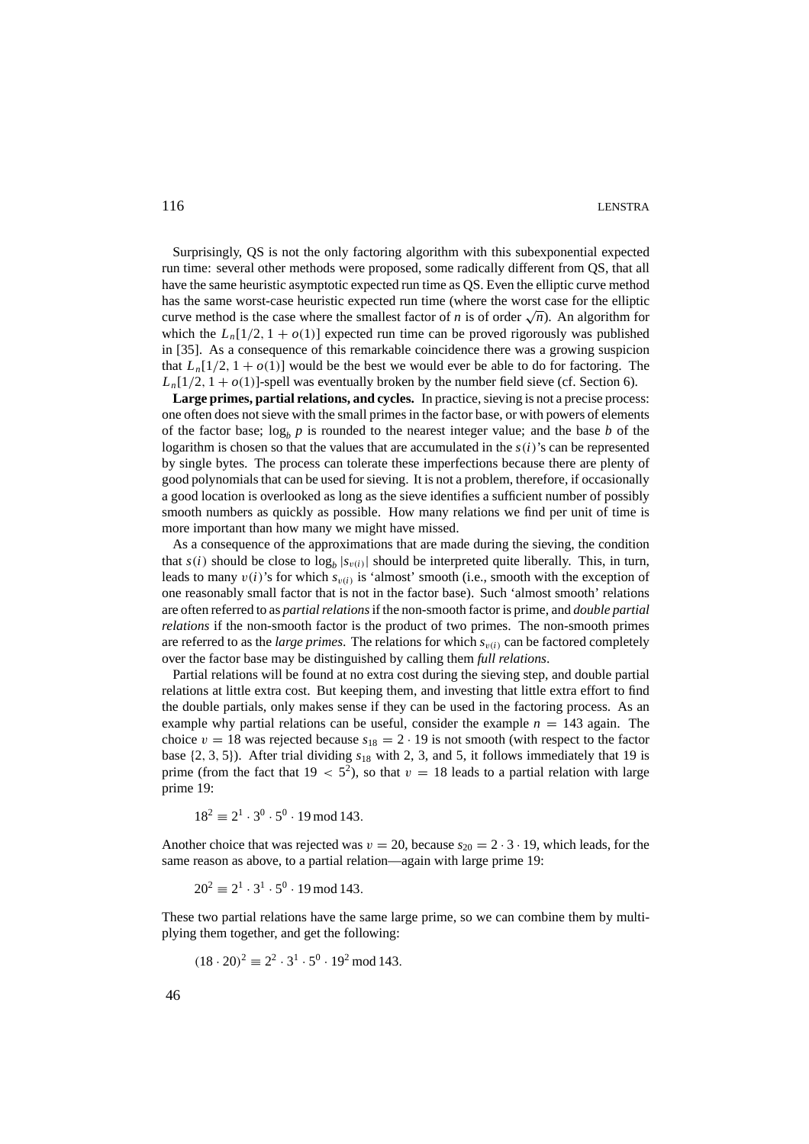Surprisingly, QS is not the only factoring algorithm with this subexponential expected run time: several other methods were proposed, some radically different from QS, that all have the same heuristic asymptotic expected run time as QS. Even the elliptic curve method has the same worst-case heuristic expected run time (where the worst case for the elliptic curve method is the case where the smallest factor of *n* is of order  $\sqrt{n}$ ). An algorithm for which the  $L_n[1/2, 1 + o(1)]$  expected run time can be proved rigorously was published in [35]. As a consequence of this remarkable coincidence there was a growing suspicion that  $L_n[1/2, 1 + o(1)]$  would be the best we would ever be able to do for factoring. The  $L_n[1/2, 1 + o(1)]$ -spell was eventually broken by the number field sieve (cf. Section 6).

**Large primes, partial relations, and cycles.** In practice, sieving is not a precise process: one often does not sieve with the small primes in the factor base, or with powers of elements of the factor base;  $\log_b p$  is rounded to the nearest integer value; and the base *b* of the logarithm is chosen so that the values that are accumulated in the  $s(i)$ 's can be represented by single bytes. The process can tolerate these imperfections because there are plenty of good polynomials that can be used for sieving. It is not a problem, therefore, if occasionally a good location is overlooked as long as the sieve identifies a sufficient number of possibly smooth numbers as quickly as possible. How many relations we find per unit of time is more important than how many we might have missed.

As a consequence of the approximations that are made during the sieving, the condition that  $s(i)$  should be close to  $log_b |s_{v(i)}|$  should be interpreted quite liberally. This, in turn, leads to many  $v(i)$ 's for which  $s_{v(i)}$  is 'almost' smooth (i.e., smooth with the exception of one reasonably small factor that is not in the factor base). Such 'almost smooth' relations are often referred to as *partial relations*if the non-smooth factor is prime, and *double partial relations* if the non-smooth factor is the product of two primes. The non-smooth primes are referred to as the *large primes*. The relations for which  $s_{v(i)}$  can be factored completely over the factor base may be distinguished by calling them *full relations*.

Partial relations will be found at no extra cost during the sieving step, and double partial relations at little extra cost. But keeping them, and investing that little extra effort to find the double partials, only makes sense if they can be used in the factoring process. As an example why partial relations can be useful, consider the example  $n = 143$  again. The choice  $v = 18$  was rejected because  $s_{18} = 2 \cdot 19$  is not smooth (with respect to the factor base  $\{2, 3, 5\}$ ). After trial dividing  $s_{18}$  with 2, 3, and 5, it follows immediately that 19 is prime (from the fact that  $19 < 5^2$ ), so that  $v = 18$  leads to a partial relation with large prime 19:

$$
18^2 \equiv 2^1 \cdot 3^0 \cdot 5^0 \cdot 19 \mod 143.
$$

Another choice that was rejected was  $v = 20$ , because  $s_{20} = 2 \cdot 3 \cdot 19$ , which leads, for the same reason as above, to a partial relation—again with large prime 19:

$$
20^2 \equiv 2^1 \cdot 3^1 \cdot 5^0 \cdot 19 \mod 143.
$$

These two partial relations have the same large prime, so we can combine them by multiplying them together, and get the following:

$$
(18 \cdot 20)^2 \equiv 2^2 \cdot 3^1 \cdot 5^0 \cdot 19^2 \mod{143}.
$$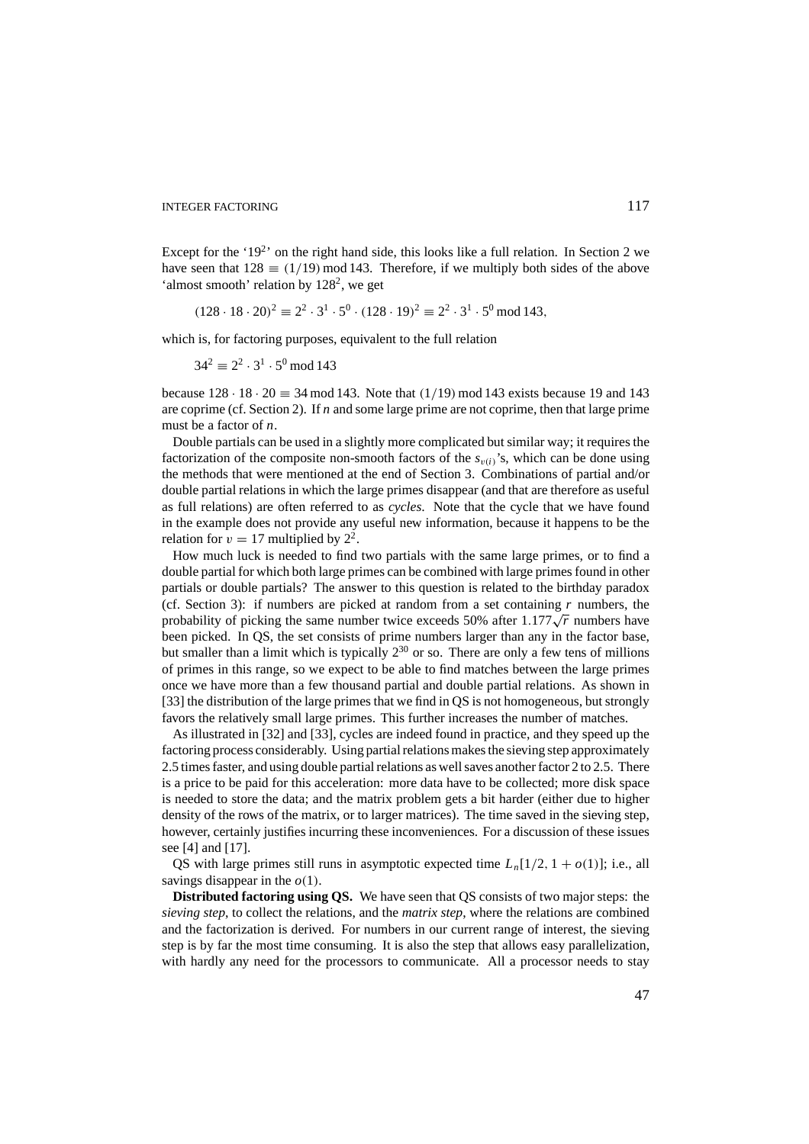Except for the ' $19<sup>2</sup>$ ' on the right hand side, this looks like a full relation. In Section 2 we have seen that  $128 \equiv (1/19) \mod 143$ . Therefore, if we multiply both sides of the above 'almost smooth' relation by  $128^2$ , we get

 $(128 \cdot 18 \cdot 20)^2 \equiv 2^2 \cdot 3^1 \cdot 5^0 \cdot (128 \cdot 19)^2 \equiv 2^2 \cdot 3^1 \cdot 5^0 \mod 143$ ,

which is, for factoring purposes, equivalent to the full relation

 $34^2 \equiv 2^2 \cdot 3^1 \cdot 5^0 \mod 143$ 

because  $128 \cdot 18 \cdot 20 \equiv 34 \mod 143$ . Note that  $(1/19) \mod 143$  exists because 19 and 143 are coprime (cf. Section 2). If *n* and some large prime are not coprime, then that large prime must be a factor of *n*.

Double partials can be used in a slightly more complicated but similar way; it requires the factorization of the composite non-smooth factors of the  $s_{\nu(i)}$ 's, which can be done using the methods that were mentioned at the end of Section 3. Combinations of partial and/or double partial relations in which the large primes disappear (and that are therefore as useful as full relations) are often referred to as *cycles*. Note that the cycle that we have found in the example does not provide any useful new information, because it happens to be the relation for  $v = 17$  multiplied by  $2^2$ .

How much luck is needed to find two partials with the same large primes, or to find a double partial for which both large primes can be combined with large primes found in other partials or double partials? The answer to this question is related to the birthday paradox (cf. Section 3): if numbers are picked at random from a set containing  $r$  numbers, the probability of picking the same number twice exceeds 50% after 1.177√*<sup>r</sup>* numbers have been picked. In QS, the set consists of prime numbers larger than any in the factor base, but smaller than a limit which is typically  $2^{30}$  or so. There are only a few tens of millions of primes in this range, so we expect to be able to find matches between the large primes once we have more than a few thousand partial and double partial relations. As shown in [33] the distribution of the large primes that we find in QS is not homogeneous, but strongly favors the relatively small large primes. This further increases the number of matches.

As illustrated in [32] and [33], cycles are indeed found in practice, and they speed up the factoring process considerably. Using partial relations makes the sieving step approximately 2.5 times faster, and using double partial relations as well saves another factor 2 to 2.5. There is a price to be paid for this acceleration: more data have to be collected; more disk space is needed to store the data; and the matrix problem gets a bit harder (either due to higher density of the rows of the matrix, or to larger matrices). The time saved in the sieving step, however, certainly justifies incurring these inconveniences. For a discussion of these issues see [4] and [17].

QS with large primes still runs in asymptotic expected time  $L_n[1/2, 1 + o(1)]$ ; i.e., all savings disappear in the  $o(1)$ .

**Distributed factoring using QS.** We have seen that QS consists of two major steps: the *sieving step*, to collect the relations, and the *matrix step*, where the relations are combined and the factorization is derived. For numbers in our current range of interest, the sieving step is by far the most time consuming. It is also the step that allows easy parallelization, with hardly any need for the processors to communicate. All a processor needs to stay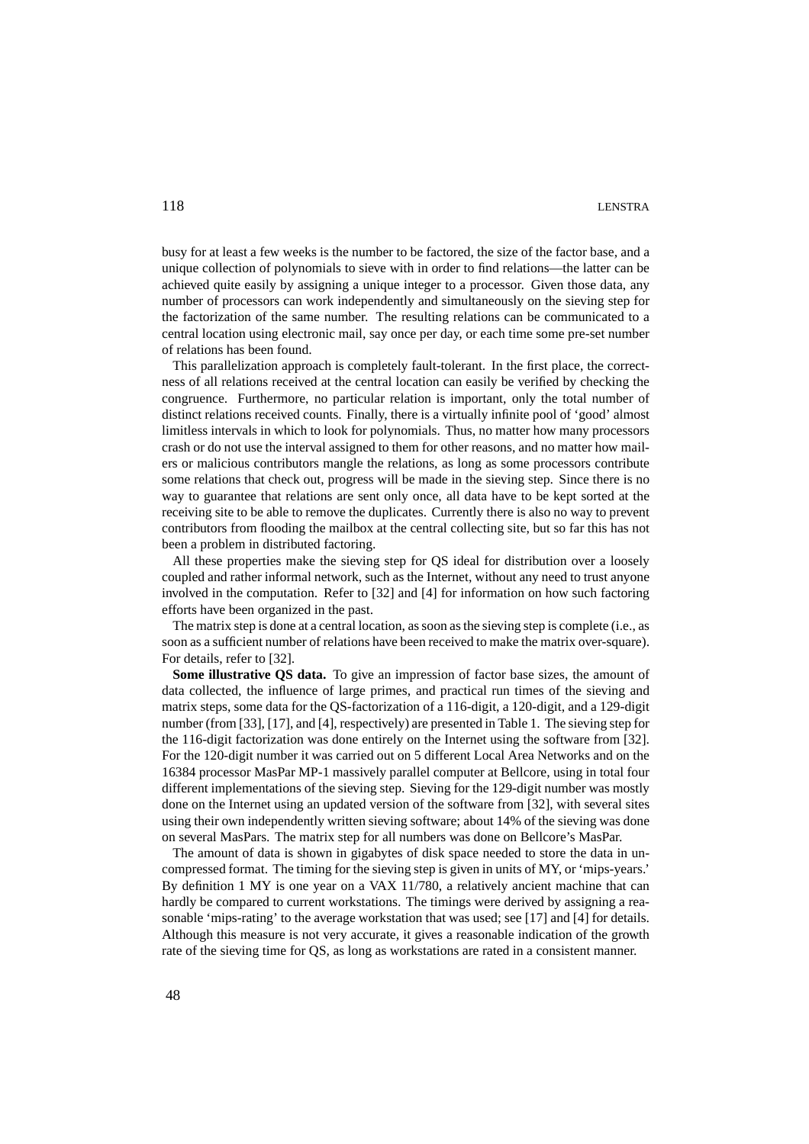busy for at least a few weeks is the number to be factored, the size of the factor base, and a unique collection of polynomials to sieve with in order to find relations—the latter can be achieved quite easily by assigning a unique integer to a processor. Given those data, any number of processors can work independently and simultaneously on the sieving step for the factorization of the same number. The resulting relations can be communicated to a central location using electronic mail, say once per day, or each time some pre-set number of relations has been found.

This parallelization approach is completely fault-tolerant. In the first place, the correctness of all relations received at the central location can easily be verified by checking the congruence. Furthermore, no particular relation is important, only the total number of distinct relations received counts. Finally, there is a virtually infinite pool of 'good' almost limitless intervals in which to look for polynomials. Thus, no matter how many processors crash or do not use the interval assigned to them for other reasons, and no matter how mailers or malicious contributors mangle the relations, as long as some processors contribute some relations that check out, progress will be made in the sieving step. Since there is no way to guarantee that relations are sent only once, all data have to be kept sorted at the receiving site to be able to remove the duplicates. Currently there is also no way to prevent contributors from flooding the mailbox at the central collecting site, but so far this has not been a problem in distributed factoring.

All these properties make the sieving step for QS ideal for distribution over a loosely coupled and rather informal network, such as the Internet, without any need to trust anyone involved in the computation. Refer to [32] and [4] for information on how such factoring efforts have been organized in the past.

The matrix step is done at a central location, as soon as the sieving step is complete (i.e., as soon as a sufficient number of relations have been received to make the matrix over-square). For details, refer to [32].

**Some illustrative QS data.** To give an impression of factor base sizes, the amount of data collected, the influence of large primes, and practical run times of the sieving and matrix steps, some data for the QS-factorization of a 116-digit, a 120-digit, and a 129-digit number (from [33], [17], and [4], respectively) are presented in Table 1. The sieving step for the 116-digit factorization was done entirely on the Internet using the software from [32]. For the 120-digit number it was carried out on 5 different Local Area Networks and on the 16384 processor MasPar MP-1 massively parallel computer at Bellcore, using in total four different implementations of the sieving step. Sieving for the 129-digit number was mostly done on the Internet using an updated version of the software from [32], with several sites using their own independently written sieving software; about 14% of the sieving was done on several MasPars. The matrix step for all numbers was done on Bellcore's MasPar.

The amount of data is shown in gigabytes of disk space needed to store the data in uncompressed format. The timing for the sieving step is given in units of MY, or 'mips-years.' By definition 1 MY is one year on a VAX 11/780, a relatively ancient machine that can hardly be compared to current workstations. The timings were derived by assigning a reasonable 'mips-rating' to the average workstation that was used; see [17] and [4] for details. Although this measure is not very accurate, it gives a reasonable indication of the growth rate of the sieving time for QS, as long as workstations are rated in a consistent manner.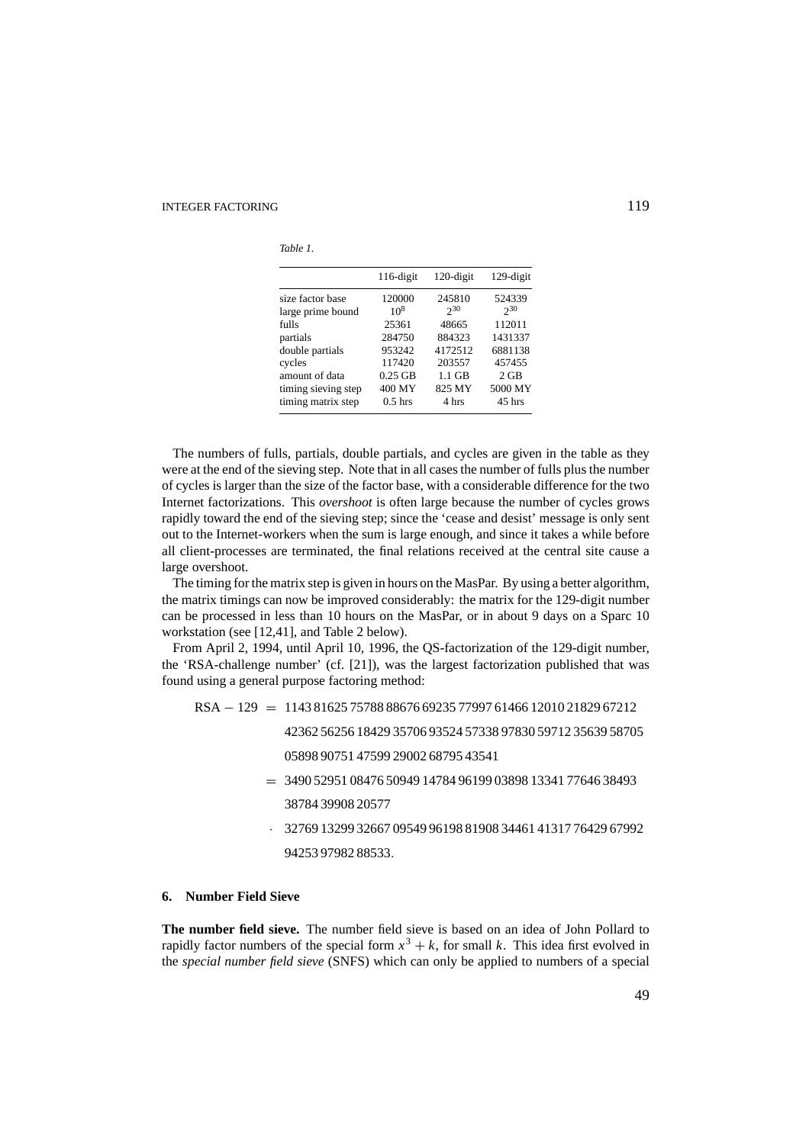|                                       | 116-digit          | 120-digit          | 129-digit          |
|---------------------------------------|--------------------|--------------------|--------------------|
| size factor base<br>large prime bound | 120000<br>$10^{8}$ | 245810<br>$2^{30}$ | 524339<br>$2^{30}$ |
| fulls                                 | 25361              | 48665              | 112011             |
| partials                              | 284750             | 884323             | 1431337            |
| double partials                       | 953242             | 4172512            | 6881138            |
| cycles                                | 117420             | 203557             | 457455             |
| amount of data                        | $0.25$ GB          | $1.1$ GB           | $2$ GB             |
| timing sieving step                   | 400 MY             | 825 MY             | 5000 MY            |
| timing matrix step                    | $0.5$ hrs          | 4 hrs              | $45$ hrs           |

The numbers of fulls, partials, double partials, and cycles are given in the table as they were at the end of the sieving step. Note that in all cases the number of fulls plus the number of cycles is larger than the size of the factor base, with a considerable difference for the two Internet factorizations. This *overshoot* is often large because the number of cycles grows rapidly toward the end of the sieving step; since the 'cease and desist' message is only sent out to the Internet-workers when the sum is large enough, and since it takes a while before all client-processes are terminated, the final relations received at the central site cause a large overshoot.

The timing for the matrix step is given in hours on the MasPar. By using a better algorithm, the matrix timings can now be improved considerably: the matrix for the 129-digit number can be processed in less than 10 hours on the MasPar, or in about 9 days on a Sparc 10 workstation (see [12,41], and Table 2 below).

From April 2, 1994, until April 10, 1996, the QS-factorization of the 129-digit number, the 'RSA-challenge number' (cf. [21]), was the largest factorization published that was found using a general purpose factoring method:

RSA − 129 = 1143 81625 75788 88676 69235 77997 61466 12010 21829 67212 42362 56256 18429 35706 93524 57338 97830 59712 35639 58705 05898 90751 47599 29002 68795 43541  $= 3490 52951 08476 50949 14784 96199 03898 13341 77646 38493$ 38784 39908 20577 · 32769 13299 32667 09549 96198 81908 34461 41317 76429 67992

94253 97982 88533.

### **6. Number Field Sieve**

**The number field sieve.** The number field sieve is based on an idea of John Pollard to rapidly factor numbers of the special form  $x^3 + k$ , for small k. This idea first evolved in the *special number field sieve* (SNFS) which can only be applied to numbers of a special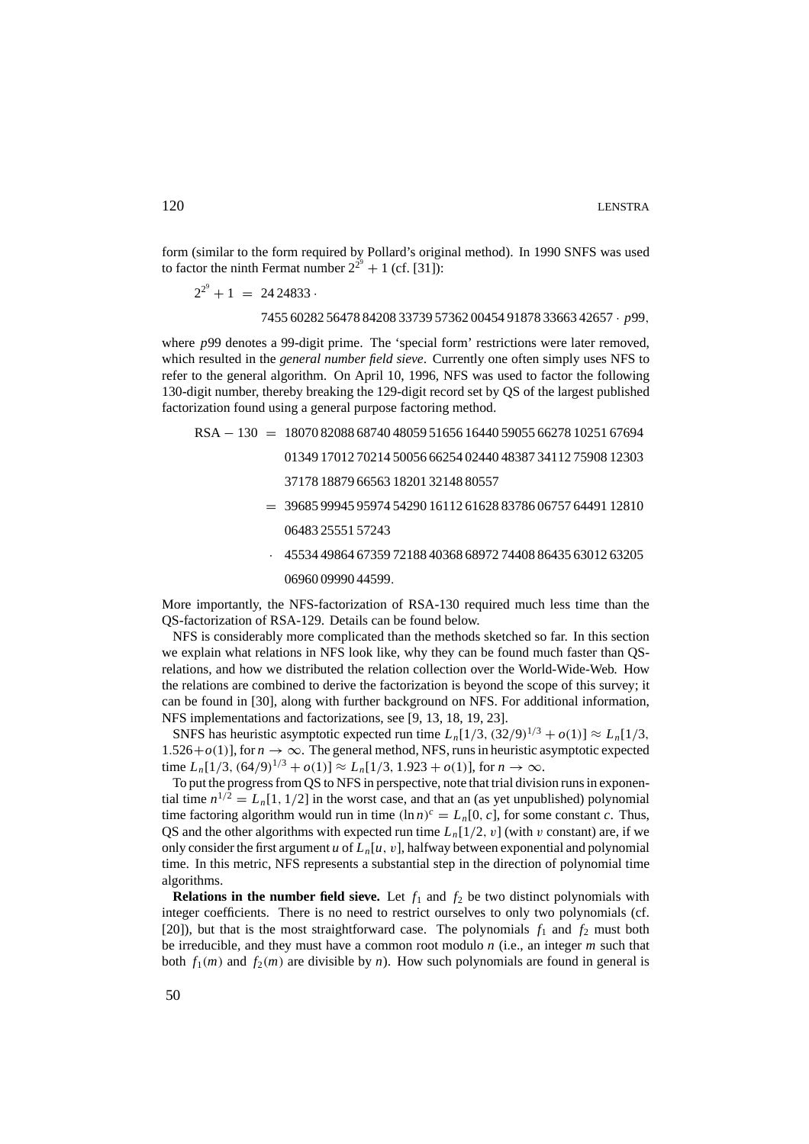form (similar to the form required by Pollard's original method). In 1990 SNFS was used to factor the ninth Fermat number  $2^{2^9} + 1$  (cf. [31]):

 $2^{2^9} + 1 = 24\,24833$ 

7455 60282 56478 84208 33739 57362 00454 91878 33663 42657 · *p*99,

where *p*99 denotes a 99-digit prime. The 'special form' restrictions were later removed, which resulted in the *general number field sieve*. Currently one often simply uses NFS to refer to the general algorithm. On April 10, 1996, NFS was used to factor the following 130-digit number, thereby breaking the 129-digit record set by QS of the largest published factorization found using a general purpose factoring method.

RSA − 130 = 18070 82088 68740 48059 51656 16440 59055 66278 10251 67694 01349 17012 70214 50056 66254 02440 48387 34112 75908 12303 37178 18879 66563 18201 32148 80557 = 39685 99945 95974 54290 16112 61628 83786 06757 64491 12810 06483 25551 57243 · 45534 49864 67359 72188 40368 68972 74408 86435 63012 63205 06960 09990 44599.

More importantly, the NFS-factorization of RSA-130 required much less time than the QS-factorization of RSA-129. Details can be found below.

NFS is considerably more complicated than the methods sketched so far. In this section we explain what relations in NFS look like, why they can be found much faster than QSrelations, and how we distributed the relation collection over the World-Wide-Web. How the relations are combined to derive the factorization is beyond the scope of this survey; it can be found in [30], along with further background on NFS. For additional information, NFS implementations and factorizations, see [9, 13, 18, 19, 23].

SNFS has heuristic asymptotic expected run time  $L_n[1/3, (32/9)^{1/3} + o(1)] \approx L_n[1/3,$ 1.526+ $o(1)$ ], for  $n \to \infty$ . The general method, NFS, runs in heuristic asymptotic expected time  $L_n[1/3, (64/9)^{1/3} + o(1)] \approx L_n[1/3, 1.923 + o(1)]$ , for  $n \to \infty$ .

To put the progress from QS to NFS in perspective, note that trial division runs in exponential time  $n^{1/2} = L_n[1, 1/2]$  in the worst case, and that an (as yet unpublished) polynomial time factoring algorithm would run in time  $(\ln n)^c = L_n[0, c]$ , for some constant *c*. Thus, QS and the other algorithms with expected run time  $L_n[1/2, v]$  (with v constant) are, if we only consider the first argument *u* of  $L_n[u, v]$ , halfway between exponential and polynomial time. In this metric, NFS represents a substantial step in the direction of polynomial time algorithms.

**Relations in the number field sieve.** Let  $f_1$  and  $f_2$  be two distinct polynomials with integer coefficients. There is no need to restrict ourselves to only two polynomials (cf. [20]), but that is the most straightforward case. The polynomials  $f_1$  and  $f_2$  must both be irreducible, and they must have a common root modulo *n* (i.e., an integer *m* such that both  $f_1(m)$  and  $f_2(m)$  are divisible by *n*). How such polynomials are found in general is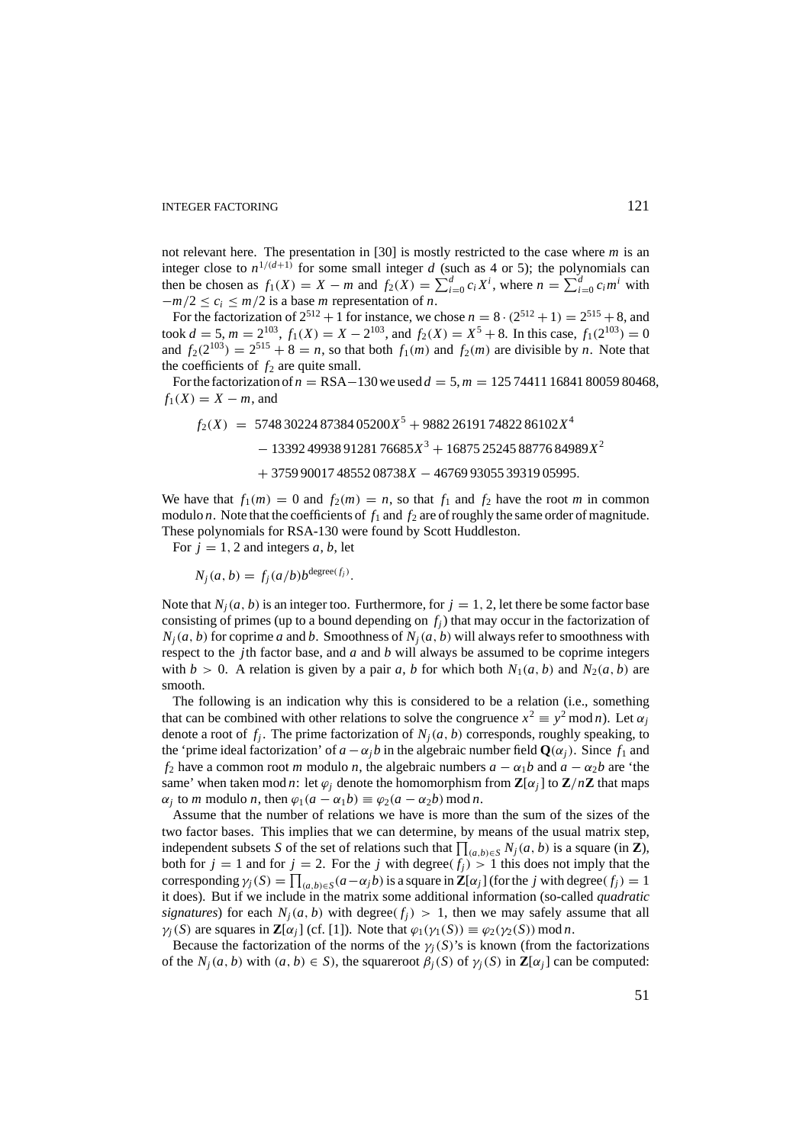not relevant here. The presentation in [30] is mostly restricted to the case where *m* is an integer close to  $n^{1/(d+1)}$  for some small integer *d* (such as 4 or 5); the polynomials can then be chosen as  $f_1(X) = X - m$  and  $f_2(X) = \sum_{i=0}^d c_i X^i$ , where  $n = \sum_{i=0}^d c_i m^i$  with  $-m/2 \le c_i \le m/2$  is a base *m* representation of *n*.

For the factorization of  $2^{512} + 1$  for instance, we chose  $n = 8 \cdot (2^{512} + 1) = 2^{515} + 8$ , and took  $d = 5$ ,  $m = 2^{103}$ ,  $f_1(X) = X - 2^{103}$ , and  $f_2(X) = X^5 + 8$ . In this case,  $f_1(2^{103}) = 0$ and  $f_2(2^{103}) = 2^{515} + 8 = n$ , so that both  $f_1(m)$  and  $f_2(m)$  are divisible by *n*. Note that the coefficients of  $f_2$  are quite small.

For the factorization of  $n =$  RSA $-130$  we used  $d = 5$ ,  $m = 12574411168418005980468$ ,  $f_1(X) = X - m$ , and

$$
f_2(X) = 5748302248738405200X^5 + 9882261917482286102X^4
$$
  
- 13392499389128176685X<sup>3</sup> + 16875252458877684989X<sup>2</sup>  
+ 3759900174855208738X - 46769930553931905995.

We have that  $f_1(m) = 0$  and  $f_2(m) = n$ , so that  $f_1$  and  $f_2$  have the root *m* in common modulo *n*. Note that the coefficients of  $f_1$  and  $f_2$  are of roughly the same order of magnitude. These polynomials for RSA-130 were found by Scott Huddleston.

For  $j = 1, 2$  and integers  $a, b$ , let

$$
N_j(a, b) = f_j(a/b)b^{\text{degree}(f_j)}.
$$

Note that  $N_i(a, b)$  is an integer too. Furthermore, for  $j = 1, 2$ , let there be some factor base consisting of primes (up to a bound depending on  $f_i$ ) that may occur in the factorization of  $N_i(a, b)$  for coprime *a* and *b*. Smoothness of  $N_i(a, b)$  will always refer to smoothness with respect to the *j*th factor base, and *a* and *b* will always be assumed to be coprime integers with  $b > 0$ . A relation is given by a pair *a*, *b* for which both  $N_1(a, b)$  and  $N_2(a, b)$  are smooth.

The following is an indication why this is considered to be a relation (i.e., something that can be combined with other relations to solve the congruence  $x^2 \equiv y^2 \mod n$ . Let  $\alpha_i$ denote a root of  $f_i$ . The prime factorization of  $N_i(a, b)$  corresponds, roughly speaking, to the 'prime ideal factorization' of  $a - \alpha_j b$  in the algebraic number field  $\mathbf{Q}(\alpha_j)$ . Since  $f_1$  and *f*<sub>2</sub> have a common root *m* modulo *n*, the algebraic numbers  $a - \alpha_1 b$  and  $a - \alpha_2 b$  are 'the same' when taken mod *n*: let  $\varphi_i$  denote the homomorphism from  $\mathbf{Z}[\alpha_i]$  to  $\mathbf{Z}/n\mathbf{Z}$  that maps  $\alpha_i$  to *m* modulo *n*, then  $\varphi_1(a - \alpha_1 b) \equiv \varphi_2(a - \alpha_2 b) \mod n$ .

Assume that the number of relations we have is more than the sum of the sizes of the two factor bases. This implies that we can determine, by means of the usual matrix step, independent subsets *S* of the set of relations such that  $\prod_{(a,b)\in S} N_j(a,b)$  is a square (in **Z**), both for  $j = 1$  and for  $j = 2$ . For the *j* with degree( $f_j$ ) > 1 this does not imply that the corresponding  $\gamma_j(S) = \prod_{(a,b)\in S}(a-\alpha_j b)$  is a square in  $\mathbb{Z}[\alpha_j]$  (for the *j* with degree( $f_j$ ) = 1 it does). But if we include in the matrix some additional information (so-called *quadratic signatures*) for each  $N_j(a, b)$  with degree( $f_j$ ) > 1, then we may safely assume that all  $\gamma_i(S)$  are squares in  $\mathbb{Z}[\alpha_i]$  (cf. [1]). Note that  $\varphi_1(\gamma_1(S)) \equiv \varphi_2(\gamma_2(S)) \mod n$ .

Because the factorization of the norms of the  $\gamma_i(S)$ 's is known (from the factorizations of the  $N_i(a, b)$  with  $(a, b) \in S$ ), the squareroot  $\beta_i(S)$  of  $\gamma_i(S)$  in  $\mathbb{Z}[\alpha_i]$  can be computed: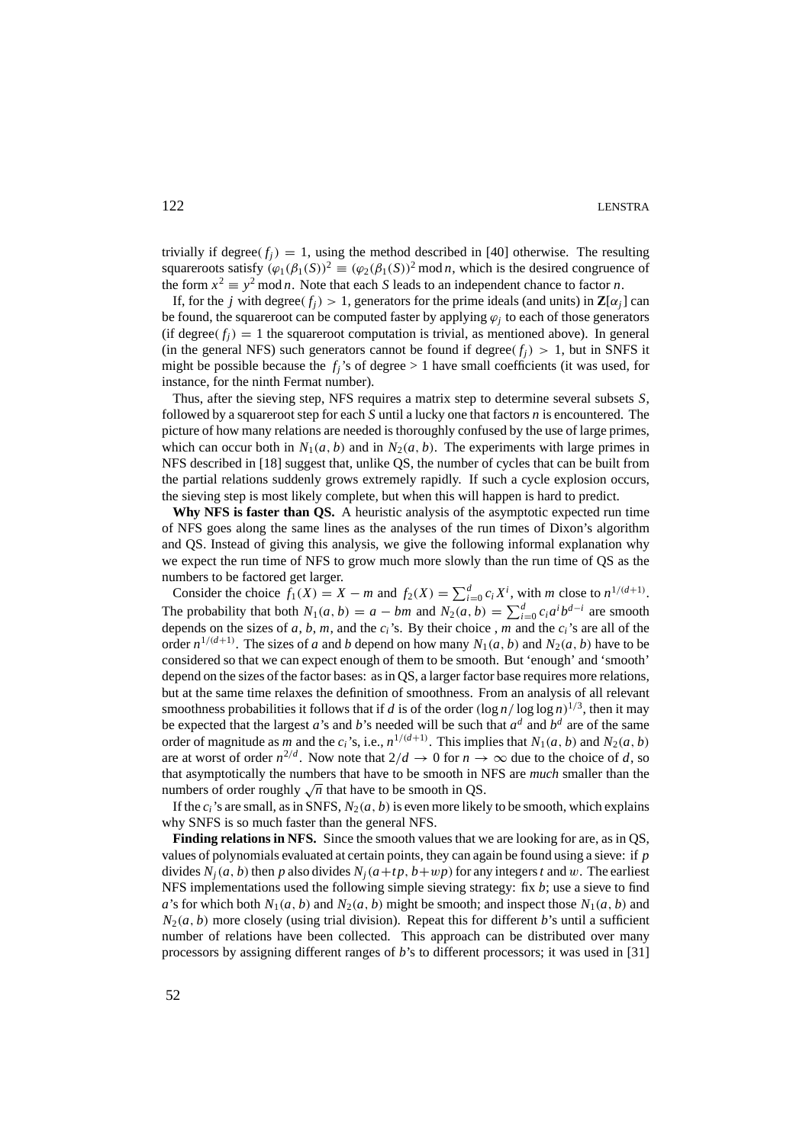trivially if degree( $f_i$ ) = 1, using the method described in [40] otherwise. The resulting squareroots satisfy  $(\varphi_1(\beta_1(S))^2 \equiv (\varphi_2(\beta_1(S))^2 \mod n$ , which is the desired congruence of the form  $x^2 \equiv y^2 \mod n$ . Note that each *S* leads to an independent chance to factor *n*.

If, for the *j* with degree( $f_i$ ) > 1, generators for the prime ideals (and units) in  $\mathbb{Z}[\alpha_i]$  can be found, the squareroot can be computed faster by applying  $\varphi_i$  to each of those generators (if degree( $f_i$ ) = 1 the squareroot computation is trivial, as mentioned above). In general (in the general NFS) such generators cannot be found if degree( $f_i$ ) > 1, but in SNFS it might be possible because the  $f_i$ 's of degree  $> 1$  have small coefficients (it was used, for instance, for the ninth Fermat number).

Thus, after the sieving step, NFS requires a matrix step to determine several subsets *S*, followed by a squareroot step for each *S* until a lucky one that factors *n* is encountered. The picture of how many relations are needed is thoroughly confused by the use of large primes, which can occur both in  $N_1(a, b)$  and in  $N_2(a, b)$ . The experiments with large primes in NFS described in [18] suggest that, unlike QS, the number of cycles that can be built from the partial relations suddenly grows extremely rapidly. If such a cycle explosion occurs, the sieving step is most likely complete, but when this will happen is hard to predict.

**Why NFS is faster than QS.** A heuristic analysis of the asymptotic expected run time of NFS goes along the same lines as the analyses of the run times of Dixon's algorithm and QS. Instead of giving this analysis, we give the following informal explanation why we expect the run time of NFS to grow much more slowly than the run time of QS as the numbers to be factored get larger.

Consider the choice  $f_1(X) = X - m$  and  $f_2(X) = \sum_{i=0}^d c_i X^i$ , with *m* close to  $n^{1/(d+1)}$ . The probability that both  $N_1(a, b) = a - bm$  and  $N_2(a, b) = \sum_{i=0}^{d} c_i a^i b^{d-i}$  are smooth depends on the sizes of  $a$ ,  $b$ ,  $m$ , and the  $c_i$ 's. By their choice,  $m$  and the  $c_i$ 's are all of the order  $n^{1/(d+1)}$ . The sizes of *a* and *b* depend on how many  $N_1(a, b)$  and  $N_2(a, b)$  have to be considered so that we can expect enough of them to be smooth. But 'enough' and 'smooth' depend on the sizes of the factor bases: as in QS, a larger factor base requires more relations, but at the same time relaxes the definition of smoothness. From an analysis of all relevant smoothness probabilities it follows that if *d* is of the order  $(\log n / \log \log n)^{1/3}$ , then it may be expected that the largest *a*'s and *b*'s needed will be such that  $a^d$  and  $b^d$  are of the same order of magnitude as *m* and the  $c_i$ 's, i.e.,  $n^{1/(d+1)}$ . This implies that  $N_1(a, b)$  and  $N_2(a, b)$ are at worst of order  $n^{2/d}$ . Now note that  $2/d \rightarrow 0$  for  $n \rightarrow \infty$  due to the choice of *d*, so that asymptotically the numbers that have to be smooth in NFS are *much* smaller than the numbers of order roughly  $\sqrt{n}$  that have to be smooth in QS.

If the  $c_i$ 's are small, as in SNFS,  $N_2(a, b)$  is even more likely to be smooth, which explains why SNFS is so much faster than the general NFS.

**Finding relations in NFS.** Since the smooth values that we are looking for are, as in QS, values of polynomials evaluated at certain points, they can again be found using a sieve: if *p* divides  $N_i(a, b)$  then *p* also divides  $N_i(a+tp, b+wp)$  for any integers *t* and w. The earliest NFS implementations used the following simple sieving strategy: fix *b*; use a sieve to find *a*'s for which both  $N_1(a, b)$  and  $N_2(a, b)$  might be smooth; and inspect those  $N_1(a, b)$  and  $N_2(a, b)$  more closely (using trial division). Repeat this for different *b*'s until a sufficient number of relations have been collected. This approach can be distributed over many processors by assigning different ranges of *b*'s to different processors; it was used in [31]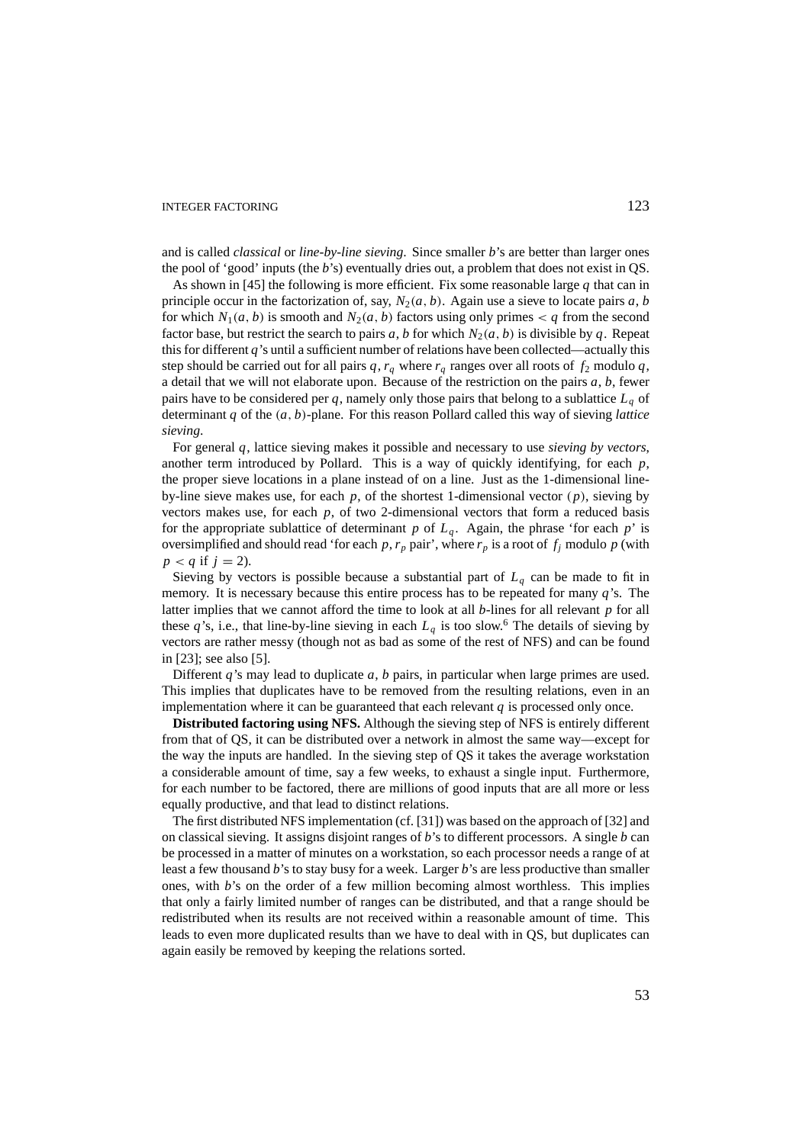and is called *classical* or *line-by-line sieving*. Since smaller *b*'s are better than larger ones the pool of 'good' inputs (the *b*'s) eventually dries out, a problem that does not exist in QS.

As shown in [45] the following is more efficient. Fix some reasonable large *q* that can in principle occur in the factorization of, say,  $N_2(a, b)$ . Again use a sieve to locate pairs *a*, *b* for which  $N_1(a, b)$  is smooth and  $N_2(a, b)$  factors using only primes  $\lt q$  from the second factor base, but restrict the search to pairs  $a$ ,  $b$  for which  $N_2(a, b)$  is divisible by  $q$ . Repeat this for different *q*'s until a sufficient number of relations have been collected—actually this step should be carried out for all pairs  $q$ ,  $r_q$  where  $r_q$  ranges over all roots of  $f_2$  modulo  $q$ , a detail that we will not elaborate upon. Because of the restriction on the pairs *a*, *b*, fewer pairs have to be considered per  $q$ , namely only those pairs that belong to a sublattice  $L_q$  of determinant *q* of the (*a*, *b*)-plane. For this reason Pollard called this way of sieving *lattice sieving*.

For general *q*, lattice sieving makes it possible and necessary to use *sieving by vectors*, another term introduced by Pollard. This is a way of quickly identifying, for each  $p$ , the proper sieve locations in a plane instead of on a line. Just as the 1-dimensional lineby-line sieve makes use, for each  $p$ , of the shortest 1-dimensional vector  $(p)$ , sieving by vectors makes use, for each  $p$ , of two 2-dimensional vectors that form a reduced basis for the appropriate sublattice of determinant *p* of  $L_a$ . Again, the phrase 'for each *p*' is oversimplified and should read 'for each  $p, r_p$  pair', where  $r_p$  is a root of  $f_i$  modulo  $p$  (with  $p < q$  if  $j = 2$ ).

Sieving by vectors is possible because a substantial part of  $L_q$  can be made to fit in memory. It is necessary because this entire process has to be repeated for many *q*'s. The latter implies that we cannot afford the time to look at all *b*-lines for all relevant *p* for all these  $q$ 's, i.e., that line-by-line sieving in each  $L_q$  is too slow.<sup>6</sup> The details of sieving by vectors are rather messy (though not as bad as some of the rest of NFS) and can be found in [23]; see also [5].

Different *q*'s may lead to duplicate *a*, *b* pairs, in particular when large primes are used. This implies that duplicates have to be removed from the resulting relations, even in an implementation where it can be guaranteed that each relevant  $q$  is processed only once.

**Distributed factoring using NFS.** Although the sieving step of NFS is entirely different from that of QS, it can be distributed over a network in almost the same way—except for the way the inputs are handled. In the sieving step of QS it takes the average workstation a considerable amount of time, say a few weeks, to exhaust a single input. Furthermore, for each number to be factored, there are millions of good inputs that are all more or less equally productive, and that lead to distinct relations.

The first distributed NFS implementation (cf. [31]) was based on the approach of [32] and on classical sieving. It assigns disjoint ranges of *b*'s to different processors. A single *b* can be processed in a matter of minutes on a workstation, so each processor needs a range of at least a few thousand *b*'s to stay busy for a week. Larger *b*'s are less productive than smaller ones, with *b*'s on the order of a few million becoming almost worthless. This implies that only a fairly limited number of ranges can be distributed, and that a range should be redistributed when its results are not received within a reasonable amount of time. This leads to even more duplicated results than we have to deal with in QS, but duplicates can again easily be removed by keeping the relations sorted.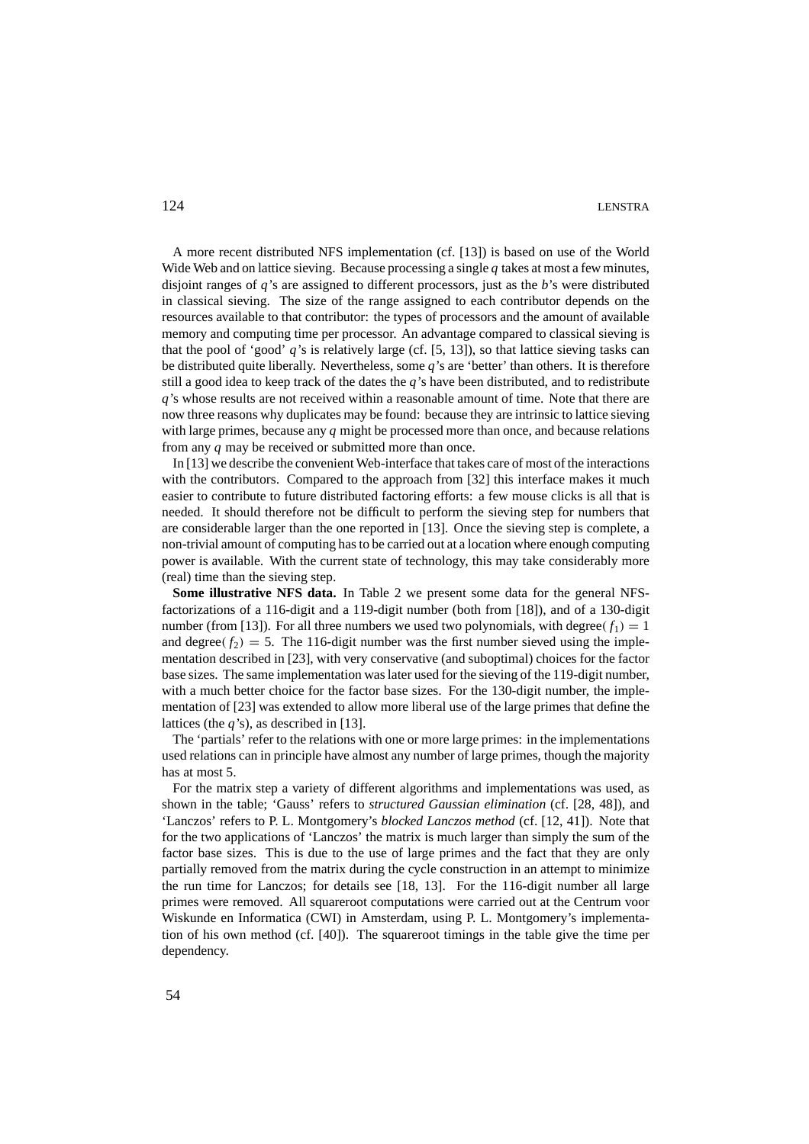A more recent distributed NFS implementation (cf. [13]) is based on use of the World Wide Web and on lattice sieving. Because processing a single *q* takes at most a few minutes, disjoint ranges of *q*'s are assigned to different processors, just as the *b*'s were distributed in classical sieving. The size of the range assigned to each contributor depends on the resources available to that contributor: the types of processors and the amount of available memory and computing time per processor. An advantage compared to classical sieving is that the pool of 'good'  $q$ 's is relatively large (cf.  $[5, 13]$ ), so that lattice sieving tasks can be distributed quite liberally. Nevertheless, some *q*'s are 'better' than others. It is therefore still a good idea to keep track of the dates the *q*'s have been distributed, and to redistribute *q*'s whose results are not received within a reasonable amount of time. Note that there are now three reasons why duplicates may be found: because they are intrinsic to lattice sieving with large primes, because any *q* might be processed more than once, and because relations from any *q* may be received or submitted more than once.

In [13] we describe the convenient Web-interface that takes care of most of the interactions with the contributors. Compared to the approach from [32] this interface makes it much easier to contribute to future distributed factoring efforts: a few mouse clicks is all that is needed. It should therefore not be difficult to perform the sieving step for numbers that are considerable larger than the one reported in [13]. Once the sieving step is complete, a non-trivial amount of computing has to be carried out at a location where enough computing power is available. With the current state of technology, this may take considerably more (real) time than the sieving step.

**Some illustrative NFS data.** In Table 2 we present some data for the general NFSfactorizations of a 116-digit and a 119-digit number (both from [18]), and of a 130-digit number (from [13]). For all three numbers we used two polynomials, with degree( $f_1$ ) = 1 and degree( $f_2$ ) = 5. The 116-digit number was the first number sieved using the implementation described in [23], with very conservative (and suboptimal) choices for the factor base sizes. The same implementation was later used for the sieving of the 119-digit number, with a much better choice for the factor base sizes. For the 130-digit number, the implementation of [23] was extended to allow more liberal use of the large primes that define the lattices (the *q*'s), as described in [13].

The 'partials' refer to the relations with one or more large primes: in the implementations used relations can in principle have almost any number of large primes, though the majority has at most 5.

For the matrix step a variety of different algorithms and implementations was used, as shown in the table; 'Gauss' refers to *structured Gaussian elimination* (cf. [28, 48]), and 'Lanczos' refers to P. L. Montgomery's *blocked Lanczos method* (cf. [12, 41]). Note that for the two applications of 'Lanczos' the matrix is much larger than simply the sum of the factor base sizes. This is due to the use of large primes and the fact that they are only partially removed from the matrix during the cycle construction in an attempt to minimize the run time for Lanczos; for details see [18, 13]. For the 116-digit number all large primes were removed. All squareroot computations were carried out at the Centrum voor Wiskunde en Informatica (CWI) in Amsterdam, using P. L. Montgomery's implementation of his own method (cf. [40]). The squareroot timings in the table give the time per dependency.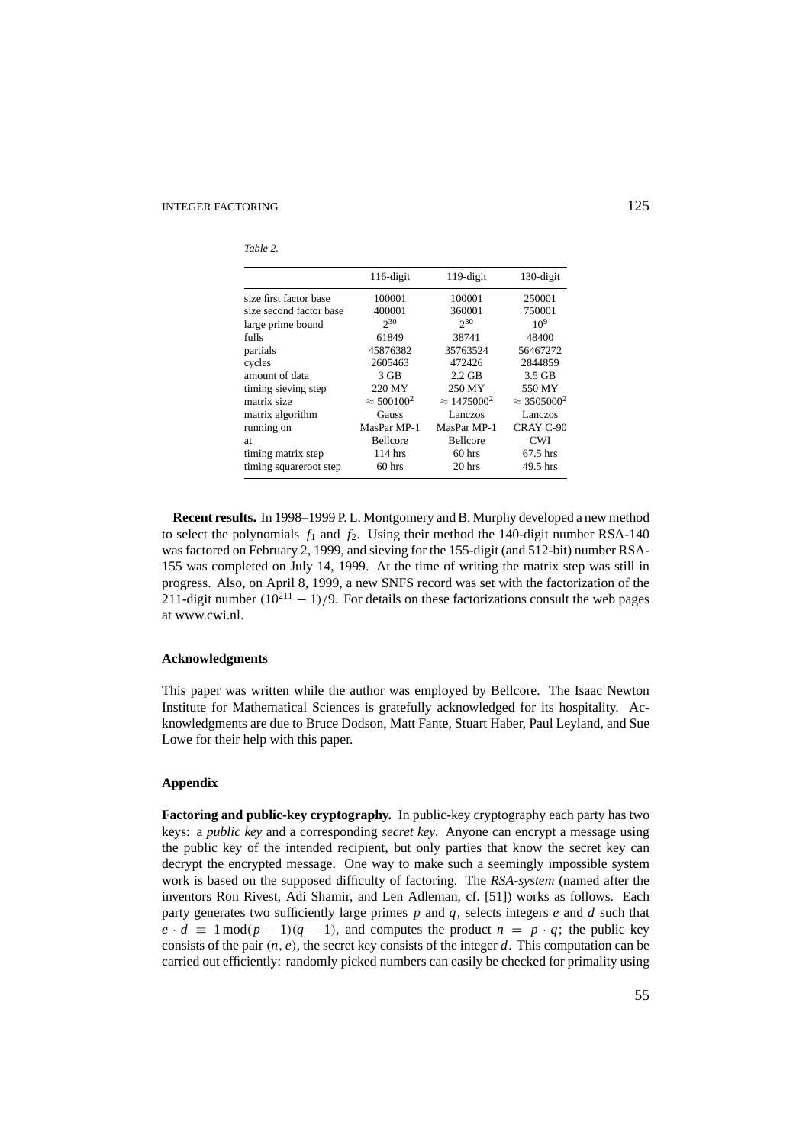### *Table 2.*

|                         | $116$ -digit                  | 119-digit           | $130$ -digit        |
|-------------------------|-------------------------------|---------------------|---------------------|
| size first factor base  | 100001                        | 100001              | 250001              |
| size second factor base | 400001                        | 360001              | 750001              |
| large prime bound       | $2^{30}$                      | $2^{30}$            | $10^{9}$            |
| fulls                   | 61849                         | 38741               | 48400               |
| partials                | 45876382                      | 35763524            | 56467272            |
| cycles                  | 2605463                       | 472426              | 2844859             |
| amount of data          | 3 GB                          | $2.2$ GB            | 3.5 GB              |
| timing sieving step     | 220 MY                        | 250 MY              | 550 MY              |
| matrix size             | $\approx$ 500100 <sup>2</sup> | $\approx 1475000^2$ | $\approx 3505000^2$ |
| matrix algorithm        | Gauss                         | Lanczos             | Lanczos             |
| running on              | MasPar MP-1                   | MasPar MP-1         | CRAY C-90           |
| at.                     | <b>Bellcore</b>               | <b>Bellcore</b>     | <b>CWI</b>          |
| timing matrix step      | $114$ hrs                     | $60$ hrs            | $67.5$ hrs          |
| timing squareroot step  | $60$ hrs                      | $20$ hrs            | 49.5 hrs            |

**Recent results.** In 1998–1999 P. L. Montgomery and B. Murphy developed a new method to select the polynomials  $f_1$  and  $f_2$ . Using their method the 140-digit number RSA-140 was factored on February 2, 1999, and sieving for the 155-digit (and 512-bit) number RSA-155 was completed on July 14, 1999. At the time of writing the matrix step was still in progress. Also, on April 8, 1999, a new SNFS record was set with the factorization of the 211-digit number  $(10^{211} – 1)/9$ . For details on these factorizations consult the web pages at www.cwi.nl.

### **Acknowledgments**

This paper was written while the author was employed by Bellcore. The Isaac Newton Institute for Mathematical Sciences is gratefully acknowledged for its hospitality. Acknowledgments are due to Bruce Dodson, Matt Fante, Stuart Haber, Paul Leyland, and Sue Lowe for their help with this paper.

# **Appendix**

**Factoring and public-key cryptography.** In public-key cryptography each party has two keys: a *public key* and a corresponding *secret key*. Anyone can encrypt a message using the public key of the intended recipient, but only parties that know the secret key can decrypt the encrypted message. One way to make such a seemingly impossible system work is based on the supposed difficulty of factoring. The *RSA-system* (named after the inventors Ron Rivest, Adi Shamir, and Len Adleman, cf. [51]) works as follows. Each party generates two sufficiently large primes *p* and *q*, selects integers *e* and *d* such that  $e \cdot d \equiv 1 \mod (p-1)(q-1)$ , and computes the product  $n = p \cdot q$ ; the public key consists of the pair (*n*, *e*), the secret key consists of the integer *d*. This computation can be carried out efficiently: randomly picked numbers can easily be checked for primality using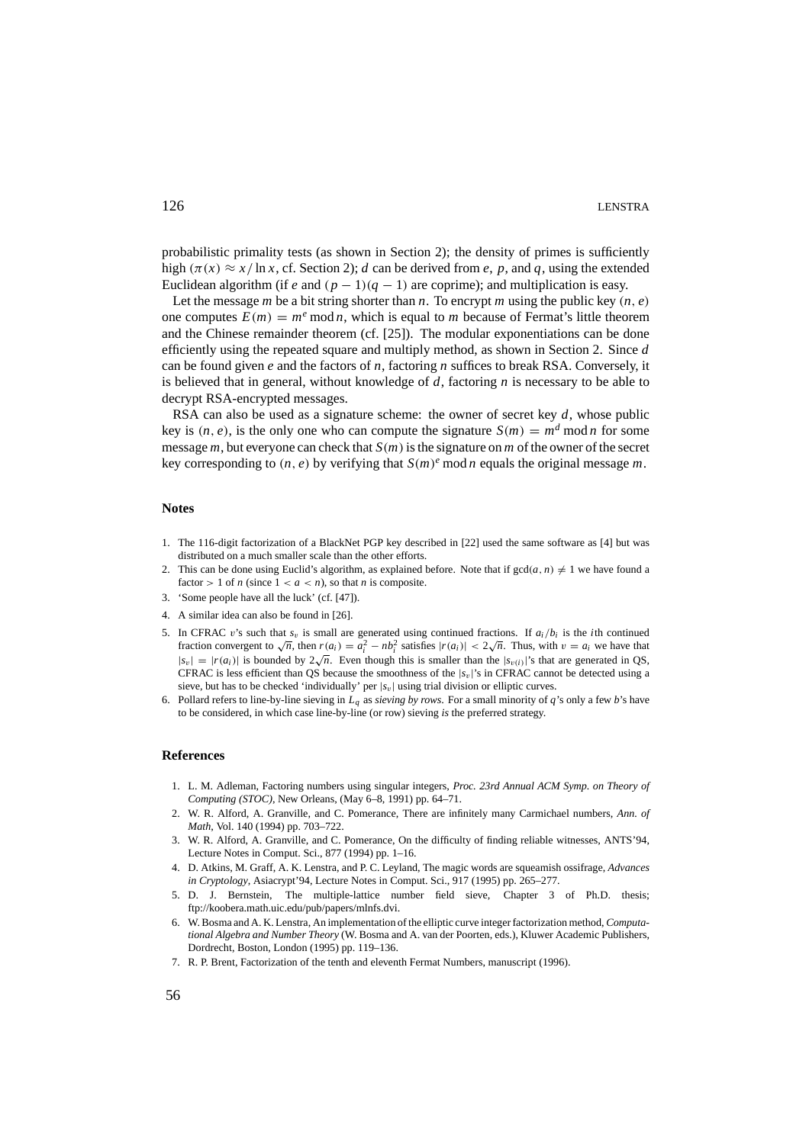probabilistic primality tests (as shown in Section 2); the density of primes is sufficiently high ( $\pi(x) \approx x/\ln x$ , cf. Section 2); *d* can be derived from *e*, *p*, and *q*, using the extended Euclidean algorithm (if *e* and  $(p - 1)(q - 1)$  are coprime); and multiplication is easy.

Let the message *m* be a bit string shorter than *n*. To encrypt *m* using the public key  $(n, e)$ one computes  $E(m) = m^e \mod n$ , which is equal to *m* because of Fermat's little theorem and the Chinese remainder theorem (cf. [25]). The modular exponentiations can be done efficiently using the repeated square and multiply method, as shown in Section 2. Since *d* can be found given *e* and the factors of *n*, factoring *n* suffices to break RSA. Conversely, it is believed that in general, without knowledge of *d*, factoring *n* is necessary to be able to decrypt RSA-encrypted messages.

RSA can also be used as a signature scheme: the owner of secret key *d*, whose public key is  $(n, e)$ , is the only one who can compute the signature  $S(m) = m<sup>d</sup> \text{ mod } n$  for some message  $m$ , but everyone can check that  $S(m)$  is the signature on  $m$  of the owner of the secret key corresponding to  $(n, e)$  by verifying that  $S(m)^e \mod n$  equals the original message *m*.

### **Notes**

- 1. The 116-digit factorization of a BlackNet PGP key described in [22] used the same software as [4] but was distributed on a much smaller scale than the other efforts.
- 2. This can be done using Euclid's algorithm, as explained before. Note that if  $gcd(a, n) \neq 1$  we have found a factor  $> 1$  of *n* (since  $1 < a < n$ ), so that *n* is composite.
- 3. 'Some people have all the luck' (cf. [47]).
- 4. A similar idea can also be found in [26].
- 5. In CFRAC v's such that  $s_v$  is small are generated using continued fractions. If  $a_i/b_i$  is the *i*th continued fraction convergent to  $\sqrt{n}$ , then  $r(a_i) = a_i^2 - nb_i^2$  satisfies  $|r(a_i)| < 2\sqrt{n}$ . Thus, with  $v = a_i$  we have that  $|s_v| = |r(a_i)|$  is bounded by  $2\sqrt{n}$ . Even though this is smaller than the  $|s_{v(i)}|$ 's that are generated in QS, CFRAC is less efficient than QS because the smoothness of the  $|s_v|$ 's in CFRAC cannot be detected using a sieve, but has to be checked 'individually' per  $|s_v|$  using trial division or elliptic curves.
- 6. Pollard refers to line-by-line sieving in *Lq* as *sieving by rows*. For a small minority of *q*'s only a few *b*'s have to be considered, in which case line-by-line (or row) sieving *is* the preferred strategy.

### **References**

- 1. L. M. Adleman, Factoring numbers using singular integers, *Proc. 23rd Annual ACM Symp. on Theory of Computing (STOC)*, New Orleans, (May 6–8, 1991) pp. 64–71.
- 2. W. R. Alford, A. Granville, and C. Pomerance, There are infinitely many Carmichael numbers, *Ann. of Math*, Vol. 140 (1994) pp. 703–722.
- 3. W. R. Alford, A. Granville, and C. Pomerance, On the difficulty of finding reliable witnesses, ANTS'94, Lecture Notes in Comput. Sci., 877 (1994) pp. 1–16.
- 4. D. Atkins, M. Graff, A. K. Lenstra, and P. C. Leyland, The magic words are squeamish ossifrage, *Advances in Cryptology*, Asiacrypt'94, Lecture Notes in Comput. Sci., 917 (1995) pp. 265–277.
- 5. D. J. Bernstein, The multiple-lattice number field sieve, Chapter 3 of Ph.D. thesis; ftp://koobera.math.uic.edu/pub/papers/mlnfs.dvi.
- 6. W. Bosma and A. K. Lenstra, An implementation of the elliptic curve integer factorization method, *Computational Algebra and Number Theory* (W. Bosma and A. van der Poorten, eds.), Kluwer Academic Publishers, Dordrecht, Boston, London (1995) pp. 119–136.
- 7. R. P. Brent, Factorization of the tenth and eleventh Fermat Numbers, manuscript (1996).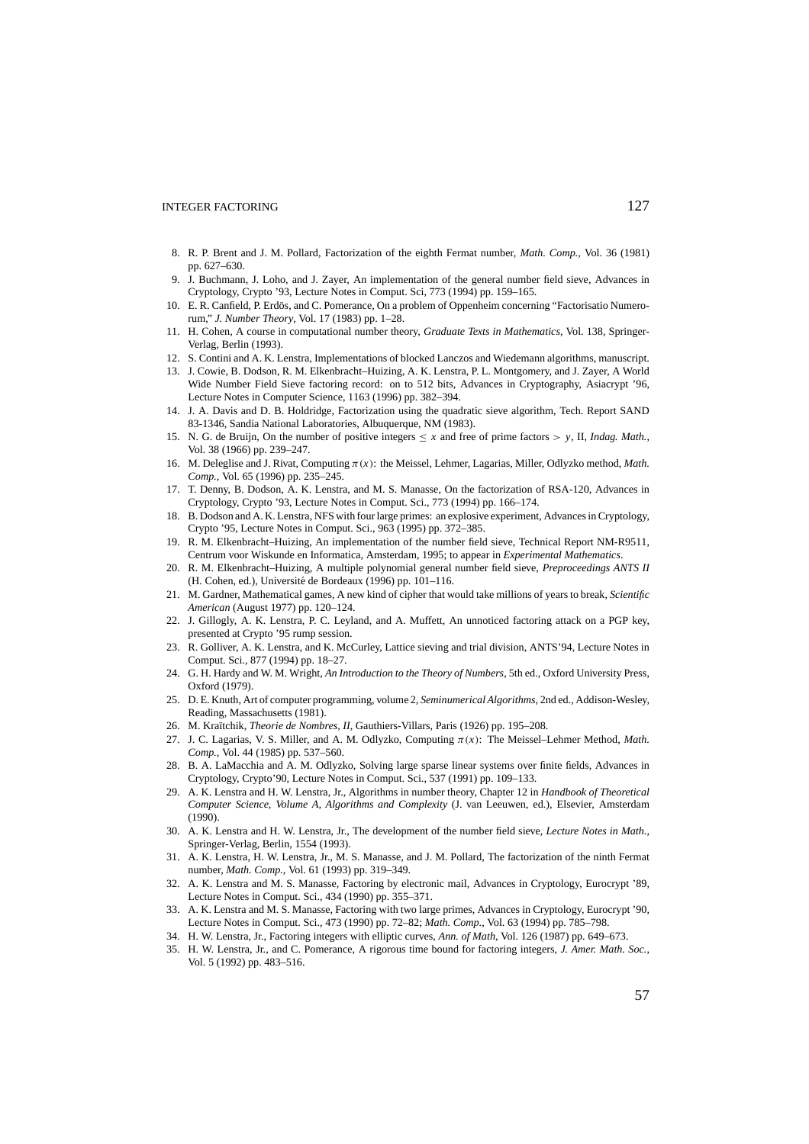- 8. R. P. Brent and J. M. Pollard, Factorization of the eighth Fermat number, *Math. Comp.*, Vol. 36 (1981) pp. 627–630.
- 9. J. Buchmann, J. Loho, and J. Zayer, An implementation of the general number field sieve, Advances in Cryptology, Crypto '93, Lecture Notes in Comput. Sci, 773 (1994) pp. 159–165.
- 10. E. R. Canfield, P. Erdös, and C. Pomerance, On a problem of Oppenheim concerning "Factorisatio Numerorum," *J. Number Theory*, Vol. 17 (1983) pp. 1–28.
- 11. H. Cohen, A course in computational number theory, *Graduate Texts in Mathematics*, Vol. 138, Springer-Verlag, Berlin (1993).
- 12. S. Contini and A. K. Lenstra, Implementations of blocked Lanczos and Wiedemann algorithms, manuscript.
- 13. J. Cowie, B. Dodson, R. M. Elkenbracht–Huizing, A. K. Lenstra, P. L. Montgomery, and J. Zayer, A World Wide Number Field Sieve factoring record: on to 512 bits, Advances in Cryptography, Asiacrypt '96, Lecture Notes in Computer Science, 1163 (1996) pp. 382–394.
- 14. J. A. Davis and D. B. Holdridge, Factorization using the quadratic sieve algorithm, Tech. Report SAND 83-1346, Sandia National Laboratories, Albuquerque, NM (1983).
- 15. N. G. de Bruijn, On the number of positive integers  $\leq x$  and free of prime factors  $> y$ , II, *Indag. Math.*, Vol. 38 (1966) pp. 239–247.
- 16. M. Deleglise and J. Rivat, Computing π(*x*): the Meissel, Lehmer, Lagarias, Miller, Odlyzko method, *Math. Comp.*, Vol. 65 (1996) pp. 235–245.
- 17. T. Denny, B. Dodson, A. K. Lenstra, and M. S. Manasse, On the factorization of RSA-120, Advances in Cryptology, Crypto '93, Lecture Notes in Comput. Sci., 773 (1994) pp. 166–174.
- 18. B. Dodson and A. K. Lenstra, NFS with four large primes: an explosive experiment, Advances in Cryptology, Crypto '95, Lecture Notes in Comput. Sci., 963 (1995) pp. 372–385.
- 19. R. M. Elkenbracht–Huizing, An implementation of the number field sieve, Technical Report NM-R9511, Centrum voor Wiskunde en Informatica, Amsterdam, 1995; to appear in *Experimental Mathematics*.
- 20. R. M. Elkenbracht–Huizing, A multiple polynomial general number field sieve, *Preproceedings ANTS II* (H. Cohen, ed.), Université de Bordeaux (1996) pp. 101–116.
- 21. M. Gardner, Mathematical games, A new kind of cipher that would take millions of years to break, *Scientific American* (August 1977) pp. 120–124.
- 22. J. Gillogly, A. K. Lenstra, P. C. Leyland, and A. Muffett, An unnoticed factoring attack on a PGP key, presented at Crypto '95 rump session.
- 23. R. Golliver, A. K. Lenstra, and K. McCurley, Lattice sieving and trial division, ANTS'94, Lecture Notes in Comput. Sci., 877 (1994) pp. 18–27.
- 24. G. H. Hardy and W. M. Wright, *An Introduction to the Theory of Numbers*, 5th ed., Oxford University Press, Oxford (1979).
- 25. D. E. Knuth, Art of computer programming, volume 2, *Seminumerical Algorithms*, 2nd ed., Addison-Wesley, Reading, Massachusetts (1981).
- 26. M. Kraïtchik, *Theorie de Nombres, II*, Gauthiers-Villars, Paris (1926) pp. 195-208.
- 27. J. C. Lagarias, V. S. Miller, and A. M. Odlyzko, Computing  $\pi(x)$ : The Meissel–Lehmer Method, *Math. Comp.*, Vol. 44 (1985) pp. 537–560.
- 28. B. A. LaMacchia and A. M. Odlyzko, Solving large sparse linear systems over finite fields, Advances in Cryptology, Crypto'90, Lecture Notes in Comput. Sci., 537 (1991) pp. 109–133.
- 29. A. K. Lenstra and H. W. Lenstra, Jr., Algorithms in number theory, Chapter 12 in *Handbook of Theoretical Computer Science, Volume A, Algorithms and Complexity* (J. van Leeuwen, ed.), Elsevier, Amsterdam (1990).
- 30. A. K. Lenstra and H. W. Lenstra, Jr., The development of the number field sieve, *Lecture Notes in Math.*, Springer-Verlag, Berlin, 1554 (1993).
- 31. A. K. Lenstra, H. W. Lenstra, Jr., M. S. Manasse, and J. M. Pollard, The factorization of the ninth Fermat number, *Math. Comp.*, Vol. 61 (1993) pp. 319–349.
- 32. A. K. Lenstra and M. S. Manasse, Factoring by electronic mail, Advances in Cryptology, Eurocrypt '89, Lecture Notes in Comput. Sci., 434 (1990) pp. 355–371.
- 33. A. K. Lenstra and M. S. Manasse, Factoring with two large primes, Advances in Cryptology, Eurocrypt '90, Lecture Notes in Comput. Sci., 473 (1990) pp. 72–82; *Math. Comp.*, Vol. 63 (1994) pp. 785–798.
- 34. H. W. Lenstra, Jr., Factoring integers with elliptic curves, *Ann. of Math*, Vol. 126 (1987) pp. 649–673.
- 35. H. W. Lenstra, Jr., and C. Pomerance, A rigorous time bound for factoring integers, *J. Amer. Math. Soc.*, Vol. 5 (1992) pp. 483–516.